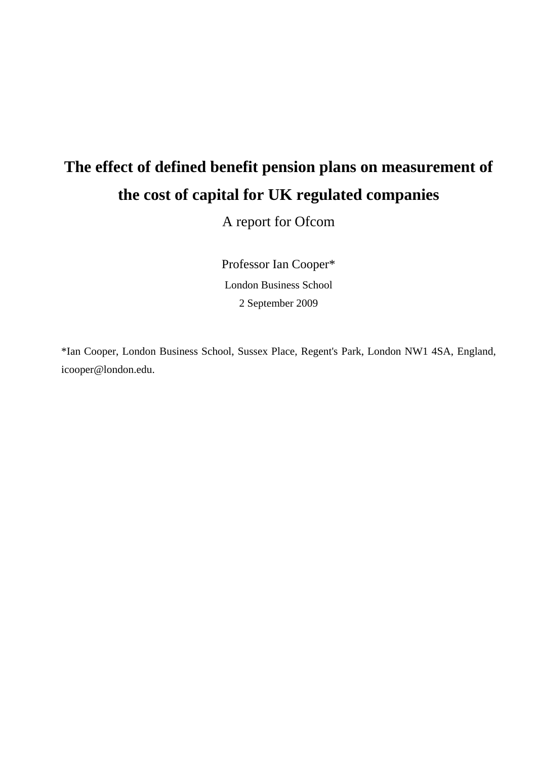# **The effect of defined benefit pension plans on measurement of the cost of capital for UK regulated companies**

A report for Ofcom

Professor Ian Cooper\* London Business School 2 September 2009

\*Ian Cooper, London Business School, Sussex Place, Regent's Park, London NW1 4SA, England, icooper@london.edu.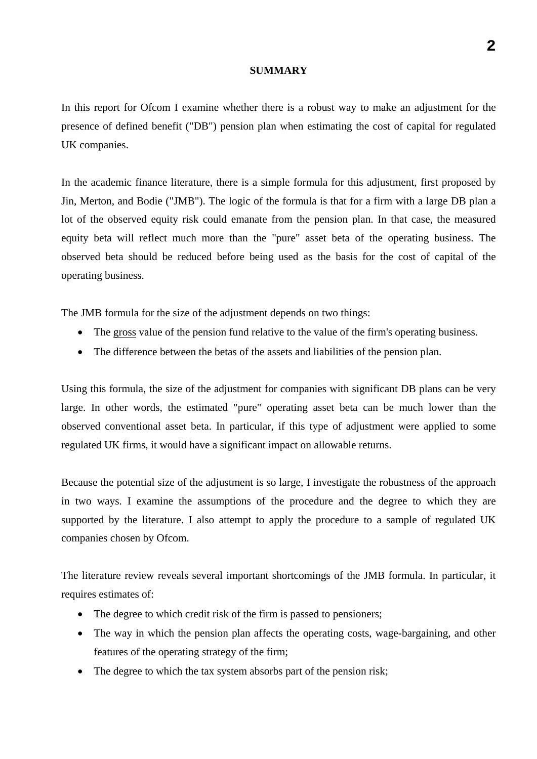#### **SUMMARY**

In this report for Ofcom I examine whether there is a robust way to make an adjustment for the presence of defined benefit ("DB") pension plan when estimating the cost of capital for regulated UK companies.

In the academic finance literature, there is a simple formula for this adjustment, first proposed by Jin, Merton, and Bodie ("JMB"). The logic of the formula is that for a firm with a large DB plan a lot of the observed equity risk could emanate from the pension plan. In that case, the measured equity beta will reflect much more than the "pure" asset beta of the operating business. The observed beta should be reduced before being used as the basis for the cost of capital of the operating business.

The JMB formula for the size of the adjustment depends on two things:

- The gross value of the pension fund relative to the value of the firm's operating business.
- The difference between the betas of the assets and liabilities of the pension plan.

Using this formula, the size of the adjustment for companies with significant DB plans can be very large. In other words, the estimated "pure" operating asset beta can be much lower than the observed conventional asset beta. In particular, if this type of adjustment were applied to some regulated UK firms, it would have a significant impact on allowable returns.

Because the potential size of the adjustment is so large, I investigate the robustness of the approach in two ways. I examine the assumptions of the procedure and the degree to which they are supported by the literature. I also attempt to apply the procedure to a sample of regulated UK companies chosen by Ofcom.

The literature review reveals several important shortcomings of the JMB formula. In particular, it requires estimates of:

- The degree to which credit risk of the firm is passed to pensioners;
- The way in which the pension plan affects the operating costs, wage-bargaining, and other features of the operating strategy of the firm;
- The degree to which the tax system absorbs part of the pension risk;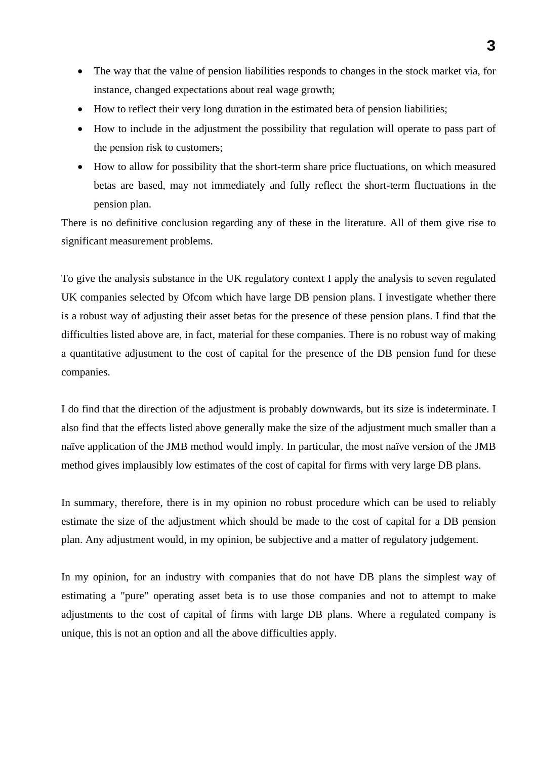- The way that the value of pension liabilities responds to changes in the stock market via, for instance, changed expectations about real wage growth;
- How to reflect their very long duration in the estimated beta of pension liabilities;
- How to include in the adjustment the possibility that regulation will operate to pass part of the pension risk to customers;
- How to allow for possibility that the short-term share price fluctuations, on which measured betas are based, may not immediately and fully reflect the short-term fluctuations in the pension plan.

There is no definitive conclusion regarding any of these in the literature. All of them give rise to significant measurement problems.

To give the analysis substance in the UK regulatory context I apply the analysis to seven regulated UK companies selected by Ofcom which have large DB pension plans. I investigate whether there is a robust way of adjusting their asset betas for the presence of these pension plans. I find that the difficulties listed above are, in fact, material for these companies. There is no robust way of making a quantitative adjustment to the cost of capital for the presence of the DB pension fund for these companies.

I do find that the direction of the adjustment is probably downwards, but its size is indeterminate. I also find that the effects listed above generally make the size of the adjustment much smaller than a naïve application of the JMB method would imply. In particular, the most naïve version of the JMB method gives implausibly low estimates of the cost of capital for firms with very large DB plans.

In summary, therefore, there is in my opinion no robust procedure which can be used to reliably estimate the size of the adjustment which should be made to the cost of capital for a DB pension plan. Any adjustment would, in my opinion, be subjective and a matter of regulatory judgement.

In my opinion, for an industry with companies that do not have DB plans the simplest way of estimating a "pure" operating asset beta is to use those companies and not to attempt to make adjustments to the cost of capital of firms with large DB plans. Where a regulated company is unique, this is not an option and all the above difficulties apply.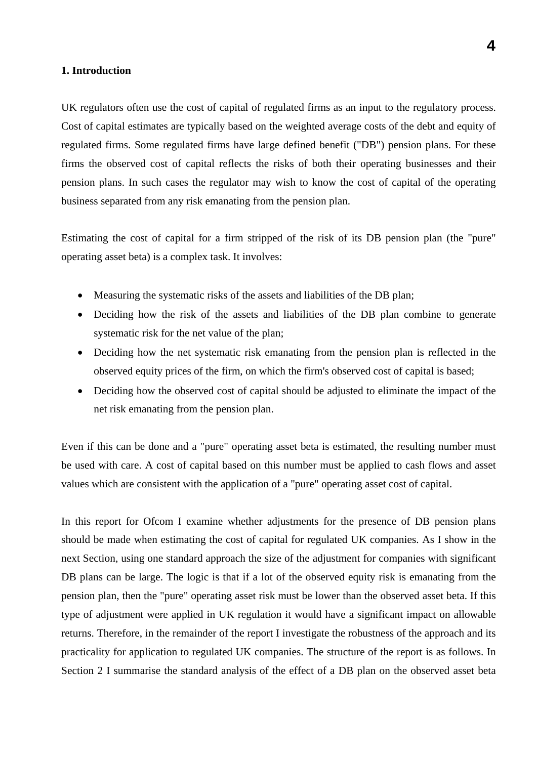#### **1. Introduction**

UK regulators often use the cost of capital of regulated firms as an input to the regulatory process. Cost of capital estimates are typically based on the weighted average costs of the debt and equity of regulated firms. Some regulated firms have large defined benefit ("DB") pension plans. For these firms the observed cost of capital reflects the risks of both their operating businesses and their pension plans. In such cases the regulator may wish to know the cost of capital of the operating business separated from any risk emanating from the pension plan.

Estimating the cost of capital for a firm stripped of the risk of its DB pension plan (the "pure" operating asset beta) is a complex task. It involves:

- Measuring the systematic risks of the assets and liabilities of the DB plan;
- Deciding how the risk of the assets and liabilities of the DB plan combine to generate systematic risk for the net value of the plan;
- Deciding how the net systematic risk emanating from the pension plan is reflected in the observed equity prices of the firm, on which the firm's observed cost of capital is based;
- Deciding how the observed cost of capital should be adjusted to eliminate the impact of the net risk emanating from the pension plan.

Even if this can be done and a "pure" operating asset beta is estimated, the resulting number must be used with care. A cost of capital based on this number must be applied to cash flows and asset values which are consistent with the application of a "pure" operating asset cost of capital.

In this report for Ofcom I examine whether adjustments for the presence of DB pension plans should be made when estimating the cost of capital for regulated UK companies. As I show in the next Section, using one standard approach the size of the adjustment for companies with significant DB plans can be large. The logic is that if a lot of the observed equity risk is emanating from the pension plan, then the "pure" operating asset risk must be lower than the observed asset beta. If this type of adjustment were applied in UK regulation it would have a significant impact on allowable returns. Therefore, in the remainder of the report I investigate the robustness of the approach and its practicality for application to regulated UK companies. The structure of the report is as follows. In Section 2 I summarise the standard analysis of the effect of a DB plan on the observed asset beta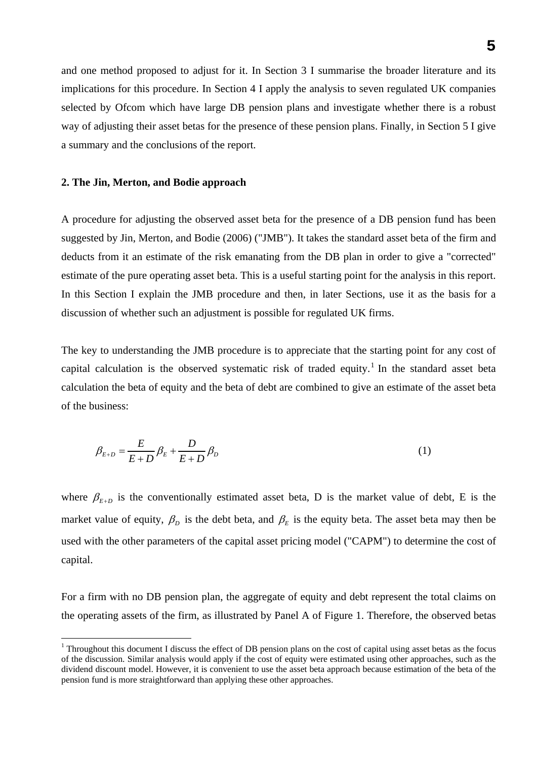and one method proposed to adjust for it. In Section 3 I summarise the broader literature and its implications for this procedure. In Section 4 I apply the analysis to seven regulated UK companies selected by Ofcom which have large DB pension plans and investigate whether there is a robust way of adjusting their asset betas for the presence of these pension plans. Finally, in Section 5 I give a summary and the conclusions of the report.

#### **2. The Jin, Merton, and Bodie approach**

 $\overline{a}$ 

A procedure for adjusting the observed asset beta for the presence of a DB pension fund has been suggested by Jin, Merton, and Bodie (2006) ("JMB"). It takes the standard asset beta of the firm and deducts from it an estimate of the risk emanating from the DB plan in order to give a "corrected" estimate of the pure operating asset beta. This is a useful starting point for the analysis in this report. In this Section I explain the JMB procedure and then, in later Sections, use it as the basis for a discussion of whether such an adjustment is possible for regulated UK firms.

The key to understanding the JMB procedure is to appreciate that the starting point for any cost of capital calculation is the observed systematic risk of traded equity.<sup>1</sup> In the standard asset beta calculation the beta of equity and the beta of debt are combined to give an estimate of the asset beta of the business:

$$
\beta_{E+D} = \frac{E}{E+D} \beta_E + \frac{D}{E+D} \beta_D \tag{1}
$$

where  $\beta_{F+D}$  is the conventionally estimated asset beta, D is the market value of debt, E is the market value of equity,  $\beta_p$  is the debt beta, and  $\beta_\kappa$  is the equity beta. The asset beta may then be used with the other parameters of the capital asset pricing model ("CAPM") to determine the cost of capital.

For a firm with no DB pension plan, the aggregate of equity and debt represent the total claims on the operating assets of the firm, as illustrated by Panel A of Figure 1. Therefore, the observed betas

<sup>&</sup>lt;sup>1</sup> Throughout this document I discuss the effect of DB pension plans on the cost of capital using asset betas as the focus of the discussion. Similar analysis would apply if the cost of equity were estimated using other approaches, such as the dividend discount model. However, it is convenient to use the asset beta approach because estimation of the beta of the pension fund is more straightforward than applying these other approaches.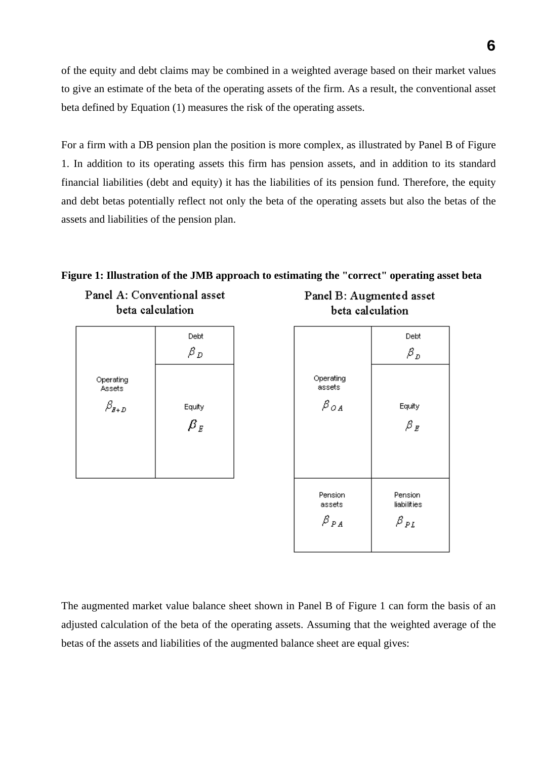of the equity and debt claims may be combined in a weighted average based on their market values to give an estimate of the beta of the operating assets of the firm. As a result, the conventional asset beta defined by Equation (1) measures the risk of the operating assets.

For a firm with a DB pension plan the position is more complex, as illustrated by Panel B of Figure 1. In addition to its operating assets this firm has pension assets, and in addition to its standard financial liabilities (debt and equity) it has the liabilities of its pension fund. Therefore, the equity and debt betas potentially reflect not only the beta of the operating assets but also the betas of the assets and liabilities of the pension plan.

# **Figure 1: Illustration of the JMB approach to estimating the "correct" operating asset beta**

Panel A: Conventional asset beta calculation



Panel B: Augmented asset beta calculation



The augmented market value balance sheet shown in Panel B of Figure 1 can form the basis of an adjusted calculation of the beta of the operating assets. Assuming that the weighted average of the betas of the assets and liabilities of the augmented balance sheet are equal gives: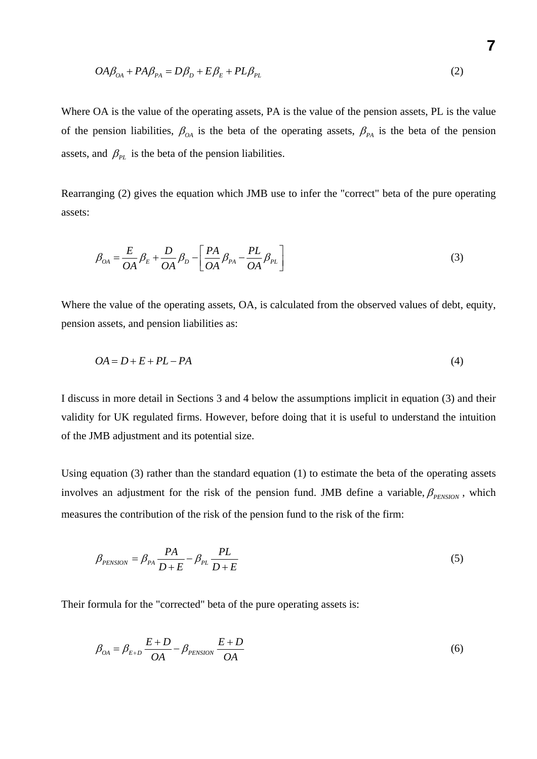$$
OA\beta_{OA} + PA\beta_{PA} = D\beta_D + E\beta_E + PL\beta_{PL}
$$
\n(2)

Where OA is the value of the operating assets, PA is the value of the pension assets, PL is the value of the pension liabilities,  $\beta_{OA}$  is the beta of the operating assets,  $\beta_{PA}$  is the beta of the pension assets, and  $\beta_{PL}$  is the beta of the pension liabilities.

Rearranging (2) gives the equation which JMB use to infer the "correct" beta of the pure operating assets:

$$
\beta_{OA} = \frac{E}{OA} \beta_E + \frac{D}{OA} \beta_D - \left[ \frac{PA}{OA} \beta_{PA} - \frac{PL}{OA} \beta_{PL} \right]
$$
\n(3)

Where the value of the operating assets, OA, is calculated from the observed values of debt, equity, pension assets, and pension liabilities as:

$$
OA = D + E + PL - PA
$$
\n<sup>(4)</sup>

I discuss in more detail in Sections 3 and 4 below the assumptions implicit in equation (3) and their validity for UK regulated firms. However, before doing that it is useful to understand the intuition of the JMB adjustment and its potential size.

Using equation (3) rather than the standard equation (1) to estimate the beta of the operating assets involves an adjustment for the risk of the pension fund. JMB define a variable,  $\beta_{\text{PENSION}}$ , which measures the contribution of the risk of the pension fund to the risk of the firm:

$$
\beta_{PENSION} = \beta_{PA} \frac{PA}{D + E} - \beta_{PL} \frac{PL}{D + E}
$$
\n(5)

Their formula for the "corrected" beta of the pure operating assets is:

$$
\beta_{OA} = \beta_{E+D} \frac{E+D}{OA} - \beta_{PENSION} \frac{E+D}{OA}
$$
\n
$$
(6)
$$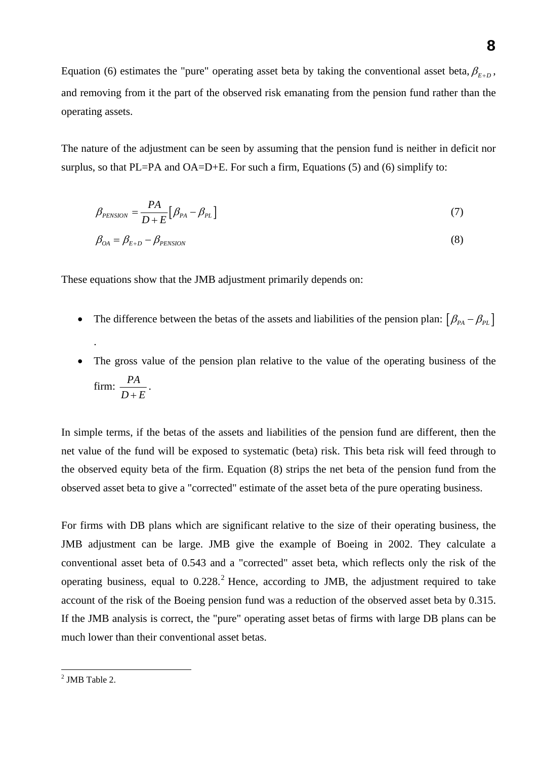Equation (6) estimates the "pure" operating asset beta by taking the conventional asset beta,  $\beta_{E+D}$ , and removing from it the part of the observed risk emanating from the pension fund rather than the operating assets.

The nature of the adjustment can be seen by assuming that the pension fund is neither in deficit nor surplus, so that PL=PA and OA=D+E. For such a firm, Equations  $(5)$  and  $(6)$  simplify to:

$$
\beta_{PENSION} = \frac{PA}{D + E} [\beta_{PA} - \beta_{PL}] \tag{7}
$$

$$
\beta_{OA} = \beta_{E+D} - \beta_{PENSION} \tag{8}
$$

These equations show that the JMB adjustment primarily depends on:

- The difference between the betas of the assets and liabilities of the pension plan:  $\left[\beta_{p_A} \beta_{p_L}\right]$
- The gross value of the pension plan relative to the value of the operating business of the firm:  $\frac{PA}{D+E}$ .

In simple terms, if the betas of the assets and liabilities of the pension fund are different, then the net value of the fund will be exposed to systematic (beta) risk. This beta risk will feed through to the observed equity beta of the firm. Equation (8) strips the net beta of the pension fund from the observed asset beta to give a "corrected" estimate of the asset beta of the pure operating business.

For firms with DB plans which are significant relative to the size of their operating business, the JMB adjustment can be large. JMB give the example of Boeing in 2002. They calculate a conventional asset beta of 0.543 and a "corrected" asset beta, which reflects only the risk of the operating business, equal to  $0.228$ .<sup>2</sup> Hence, according to JMB, the adjustment required to take account of the risk of the Boeing pension fund was a reduction of the observed asset beta by 0.315. If the JMB analysis is correct, the "pure" operating asset betas of firms with large DB plans can be much lower than their conventional asset betas.

.

<sup>&</sup>lt;sup>2</sup> JMB Table 2.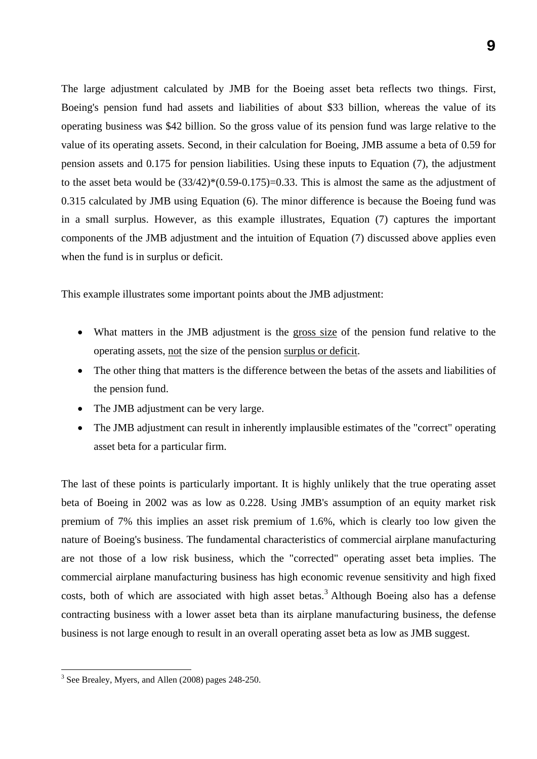The large adjustment calculated by JMB for the Boeing asset beta reflects two things. First, Boeing's pension fund had assets and liabilities of about \$33 billion, whereas the value of its operating business was \$42 billion. So the gross value of its pension fund was large relative to the value of its operating assets. Second, in their calculation for Boeing, JMB assume a beta of 0.59 for pension assets and 0.175 for pension liabilities. Using these inputs to Equation (7), the adjustment to the asset beta would be (33/42)\*(0.59-0.175)=0.33. This is almost the same as the adjustment of 0.315 calculated by JMB using Equation (6). The minor difference is because the Boeing fund was in a small surplus. However, as this example illustrates, Equation (7) captures the important components of the JMB adjustment and the intuition of Equation (7) discussed above applies even when the fund is in surplus or deficit.

This example illustrates some important points about the JMB adjustment:

- What matters in the JMB adjustment is the gross size of the pension fund relative to the operating assets, not the size of the pension surplus or deficit.
- The other thing that matters is the difference between the betas of the assets and liabilities of the pension fund.
- The JMB adjustment can be very large.
- The JMB adjustment can result in inherently implausible estimates of the "correct" operating asset beta for a particular firm.

The last of these points is particularly important. It is highly unlikely that the true operating asset beta of Boeing in 2002 was as low as 0.228. Using JMB's assumption of an equity market risk premium of 7% this implies an asset risk premium of 1.6%, which is clearly too low given the nature of Boeing's business. The fundamental characteristics of commercial airplane manufacturing are not those of a low risk business, which the "corrected" operating asset beta implies. The commercial airplane manufacturing business has high economic revenue sensitivity and high fixed costs, both of which are associated with high asset betas.<sup>3</sup> Although Boeing also has a defense contracting business with a lower asset beta than its airplane manufacturing business, the defense business is not large enough to result in an overall operating asset beta as low as JMB suggest.

 $\overline{a}$ 

<sup>&</sup>lt;sup>3</sup> See Brealey, Myers, and Allen (2008) pages 248-250.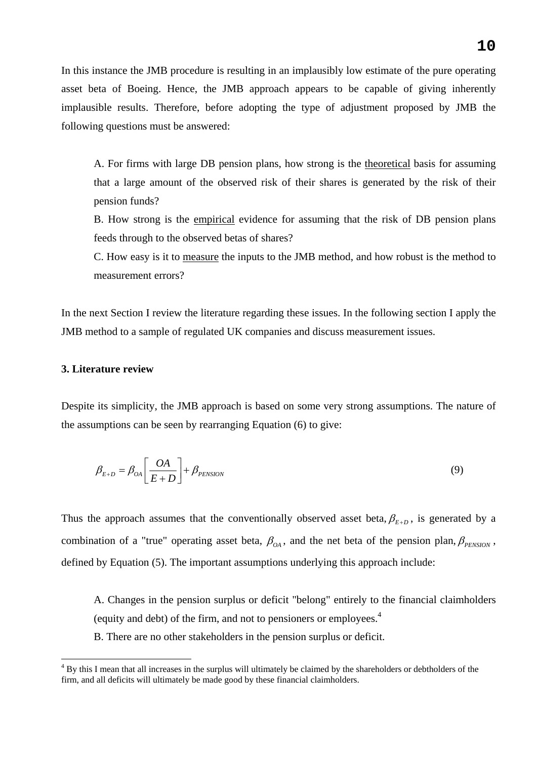In this instance the JMB procedure is resulting in an implausibly low estimate of the pure operating asset beta of Boeing. Hence, the JMB approach appears to be capable of giving inherently implausible results. Therefore, before adopting the type of adjustment proposed by JMB the following questions must be answered:

A. For firms with large DB pension plans, how strong is the theoretical basis for assuming that a large amount of the observed risk of their shares is generated by the risk of their pension funds?

B. How strong is the empirical evidence for assuming that the risk of DB pension plans feeds through to the observed betas of shares?

C. How easy is it to measure the inputs to the JMB method, and how robust is the method to measurement errors?

In the next Section I review the literature regarding these issues. In the following section I apply the JMB method to a sample of regulated UK companies and discuss measurement issues.

#### **3. Literature review**

 $\overline{a}$ 

Despite its simplicity, the JMB approach is based on some very strong assumptions. The nature of the assumptions can be seen by rearranging Equation (6) to give:

$$
\beta_{E+D} = \beta_{OA} \left[ \frac{OA}{E+D} \right] + \beta_{PENSION}
$$
\n(9)

Thus the approach assumes that the conventionally observed asset beta,  $\beta_{F,D}$ , is generated by a combination of a "true" operating asset beta,  $\beta_{OA}$ , and the net beta of the pension plan,  $\beta_{PENSION}$ , defined by Equation (5). The important assumptions underlying this approach include:

A. Changes in the pension surplus or deficit "belong" entirely to the financial claimholders (equity and debt) of the firm, and not to pensioners or employees.4

B. There are no other stakeholders in the pension surplus or deficit.

<sup>&</sup>lt;sup>4</sup> By this I mean that all increases in the surplus will ultimately be claimed by the shareholders or debtholders of the firm, and all deficits will ultimately be made good by these financial claimholders.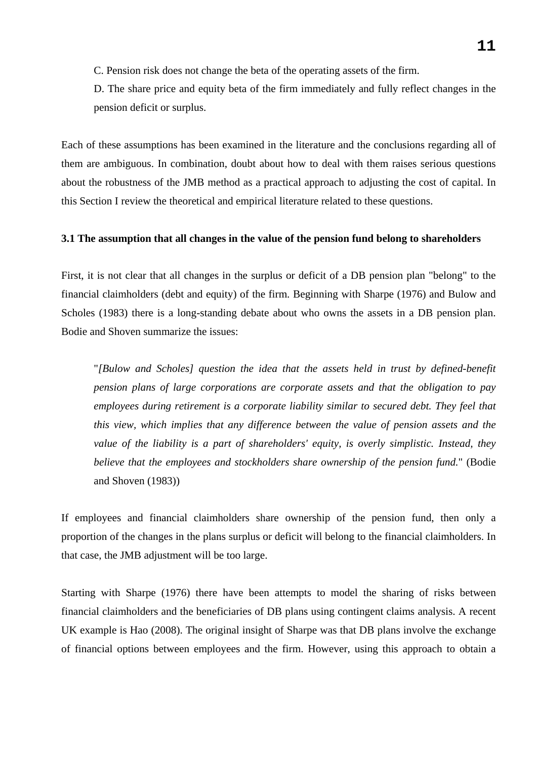C. Pension risk does not change the beta of the operating assets of the firm.

D. The share price and equity beta of the firm immediately and fully reflect changes in the pension deficit or surplus.

Each of these assumptions has been examined in the literature and the conclusions regarding all of them are ambiguous. In combination, doubt about how to deal with them raises serious questions about the robustness of the JMB method as a practical approach to adjusting the cost of capital. In this Section I review the theoretical and empirical literature related to these questions.

### **3.1 The assumption that all changes in the value of the pension fund belong to shareholders**

First, it is not clear that all changes in the surplus or deficit of a DB pension plan "belong" to the financial claimholders (debt and equity) of the firm. Beginning with Sharpe (1976) and Bulow and Scholes (1983) there is a long-standing debate about who owns the assets in a DB pension plan. Bodie and Shoven summarize the issues:

"*[Bulow and Scholes] question the idea that the assets held in trust by defined-benefit pension plans of large corporations are corporate assets and that the obligation to pay employees during retirement is a corporate liability similar to secured debt. They feel that this view, which implies that any difference between the value of pension assets and the value of the liability is a part of shareholders' equity, is overly simplistic. Instead, they believe that the employees and stockholders share ownership of the pension fund.*" (Bodie and Shoven (1983))

If employees and financial claimholders share ownership of the pension fund, then only a proportion of the changes in the plans surplus or deficit will belong to the financial claimholders. In that case, the JMB adjustment will be too large.

Starting with Sharpe (1976) there have been attempts to model the sharing of risks between financial claimholders and the beneficiaries of DB plans using contingent claims analysis. A recent UK example is Hao (2008). The original insight of Sharpe was that DB plans involve the exchange of financial options between employees and the firm. However, using this approach to obtain a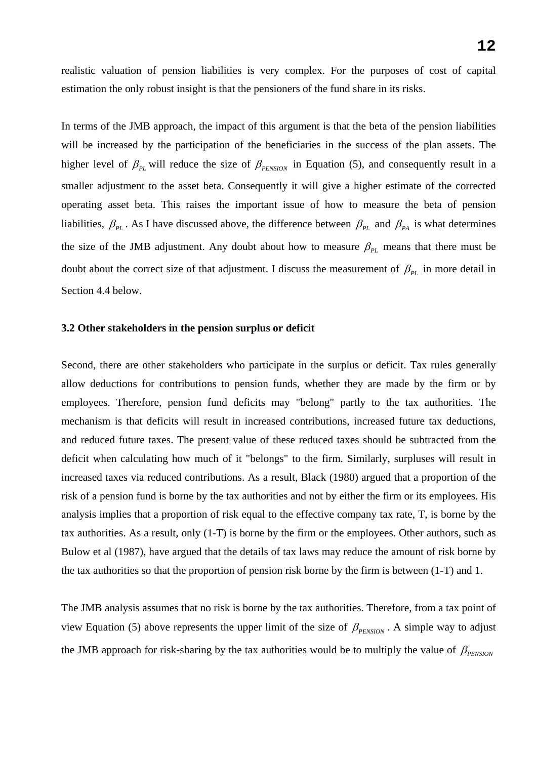realistic valuation of pension liabilities is very complex. For the purposes of cost of capital estimation the only robust insight is that the pensioners of the fund share in its risks.

In terms of the JMB approach, the impact of this argument is that the beta of the pension liabilities will be increased by the participation of the beneficiaries in the success of the plan assets. The higher level of  $\beta_{PL}$  will reduce the size of  $\beta_{PENSTON}$  in Equation (5), and consequently result in a smaller adjustment to the asset beta. Consequently it will give a higher estimate of the corrected operating asset beta. This raises the important issue of how to measure the beta of pension liabilities,  $\beta_{PL}$ . As I have discussed above, the difference between  $\beta_{PL}$  and  $\beta_{PA}$  is what determines the size of the JMB adjustment. Any doubt about how to measure  $\beta_{PL}$  means that there must be doubt about the correct size of that adjustment. I discuss the measurement of  $\beta_{PL}$  in more detail in Section 4.4 below.

#### **3.2 Other stakeholders in the pension surplus or deficit**

Second, there are other stakeholders who participate in the surplus or deficit. Tax rules generally allow deductions for contributions to pension funds, whether they are made by the firm or by employees. Therefore, pension fund deficits may "belong" partly to the tax authorities. The mechanism is that deficits will result in increased contributions, increased future tax deductions, and reduced future taxes. The present value of these reduced taxes should be subtracted from the deficit when calculating how much of it "belongs" to the firm. Similarly, surpluses will result in increased taxes via reduced contributions. As a result, Black (1980) argued that a proportion of the risk of a pension fund is borne by the tax authorities and not by either the firm or its employees. His analysis implies that a proportion of risk equal to the effective company tax rate, T, is borne by the tax authorities. As a result, only (1-T) is borne by the firm or the employees. Other authors, such as Bulow et al (1987), have argued that the details of tax laws may reduce the amount of risk borne by the tax authorities so that the proportion of pension risk borne by the firm is between (1-T) and 1.

The JMB analysis assumes that no risk is borne by the tax authorities. Therefore, from a tax point of view Equation (5) above represents the upper limit of the size of  $\beta_{P<sub>ENSION</sub>}$ . A simple way to adjust the JMB approach for risk-sharing by the tax authorities would be to multiply the value of  $\beta_{\text{PENSON}}$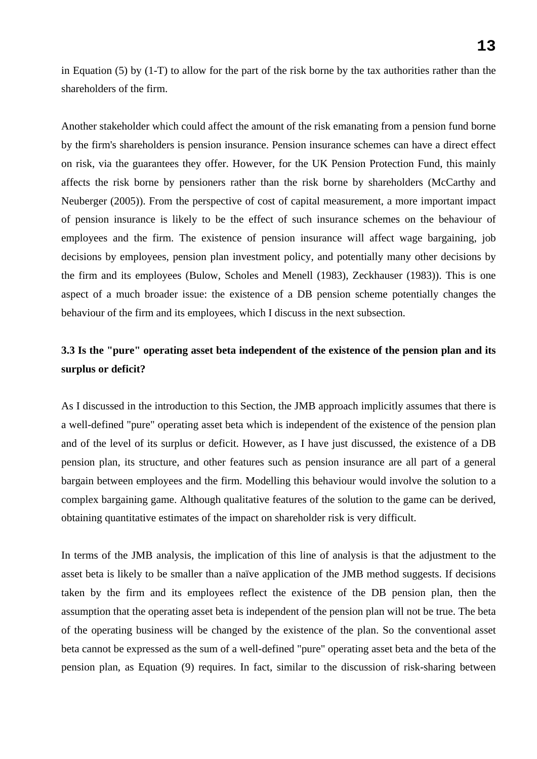in Equation (5) by (1-T) to allow for the part of the risk borne by the tax authorities rather than the shareholders of the firm.

Another stakeholder which could affect the amount of the risk emanating from a pension fund borne by the firm's shareholders is pension insurance. Pension insurance schemes can have a direct effect on risk, via the guarantees they offer. However, for the UK Pension Protection Fund, this mainly affects the risk borne by pensioners rather than the risk borne by shareholders (McCarthy and Neuberger (2005)). From the perspective of cost of capital measurement, a more important impact of pension insurance is likely to be the effect of such insurance schemes on the behaviour of employees and the firm. The existence of pension insurance will affect wage bargaining, job decisions by employees, pension plan investment policy, and potentially many other decisions by the firm and its employees (Bulow, Scholes and Menell (1983), Zeckhauser (1983)). This is one aspect of a much broader issue: the existence of a DB pension scheme potentially changes the behaviour of the firm and its employees, which I discuss in the next subsection.

# **3.3 Is the "pure" operating asset beta independent of the existence of the pension plan and its surplus or deficit?**

As I discussed in the introduction to this Section, the JMB approach implicitly assumes that there is a well-defined "pure" operating asset beta which is independent of the existence of the pension plan and of the level of its surplus or deficit. However, as I have just discussed, the existence of a DB pension plan, its structure, and other features such as pension insurance are all part of a general bargain between employees and the firm. Modelling this behaviour would involve the solution to a complex bargaining game. Although qualitative features of the solution to the game can be derived, obtaining quantitative estimates of the impact on shareholder risk is very difficult.

In terms of the JMB analysis, the implication of this line of analysis is that the adjustment to the asset beta is likely to be smaller than a naïve application of the JMB method suggests. If decisions taken by the firm and its employees reflect the existence of the DB pension plan, then the assumption that the operating asset beta is independent of the pension plan will not be true. The beta of the operating business will be changed by the existence of the plan. So the conventional asset beta cannot be expressed as the sum of a well-defined "pure" operating asset beta and the beta of the pension plan, as Equation (9) requires. In fact, similar to the discussion of risk-sharing between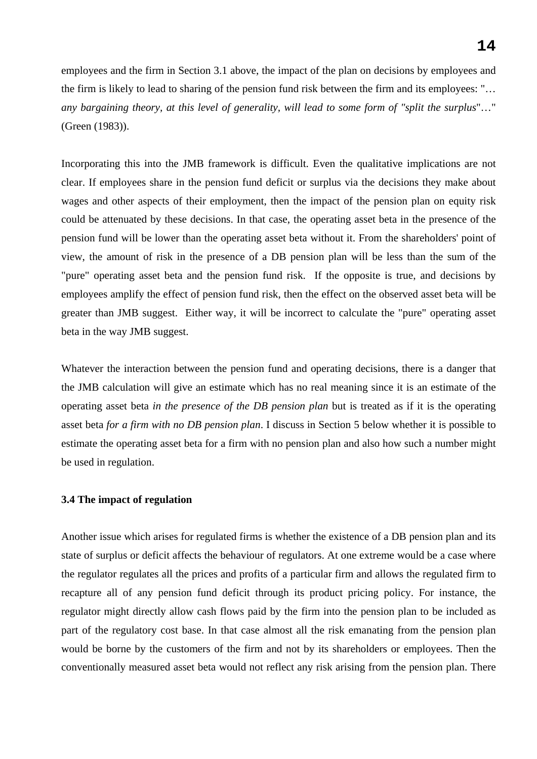employees and the firm in Section 3.1 above, the impact of the plan on decisions by employees and the firm is likely to lead to sharing of the pension fund risk between the firm and its employees: "… *any bargaining theory, at this level of generality, will lead to some form of "split the surplus*"…" (Green (1983)).

Incorporating this into the JMB framework is difficult. Even the qualitative implications are not clear. If employees share in the pension fund deficit or surplus via the decisions they make about wages and other aspects of their employment, then the impact of the pension plan on equity risk could be attenuated by these decisions. In that case, the operating asset beta in the presence of the pension fund will be lower than the operating asset beta without it. From the shareholders' point of view, the amount of risk in the presence of a DB pension plan will be less than the sum of the "pure" operating asset beta and the pension fund risk. If the opposite is true, and decisions by employees amplify the effect of pension fund risk, then the effect on the observed asset beta will be greater than JMB suggest. Either way, it will be incorrect to calculate the "pure" operating asset beta in the way JMB suggest.

Whatever the interaction between the pension fund and operating decisions, there is a danger that the JMB calculation will give an estimate which has no real meaning since it is an estimate of the operating asset beta *in the presence of the DB pension plan* but is treated as if it is the operating asset beta *for a firm with no DB pension plan*. I discuss in Section 5 below whether it is possible to estimate the operating asset beta for a firm with no pension plan and also how such a number might be used in regulation.

# **3.4 The impact of regulation**

Another issue which arises for regulated firms is whether the existence of a DB pension plan and its state of surplus or deficit affects the behaviour of regulators. At one extreme would be a case where the regulator regulates all the prices and profits of a particular firm and allows the regulated firm to recapture all of any pension fund deficit through its product pricing policy. For instance, the regulator might directly allow cash flows paid by the firm into the pension plan to be included as part of the regulatory cost base. In that case almost all the risk emanating from the pension plan would be borne by the customers of the firm and not by its shareholders or employees. Then the conventionally measured asset beta would not reflect any risk arising from the pension plan. There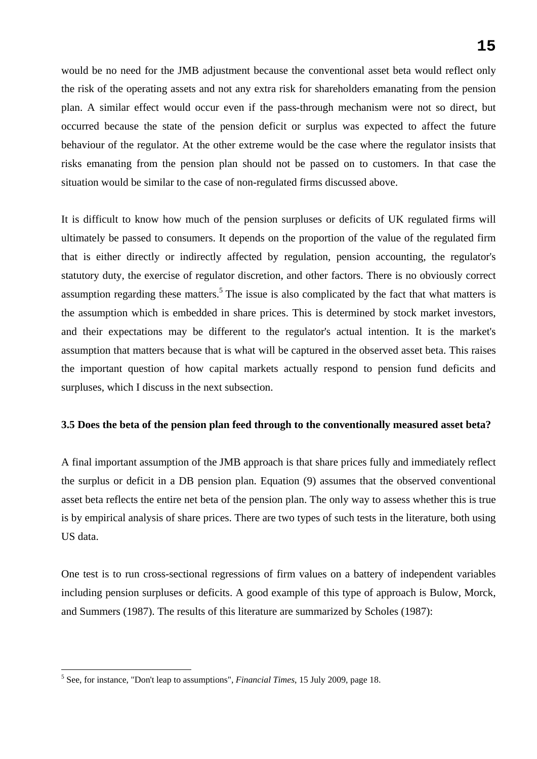would be no need for the JMB adjustment because the conventional asset beta would reflect only the risk of the operating assets and not any extra risk for shareholders emanating from the pension plan. A similar effect would occur even if the pass-through mechanism were not so direct, but occurred because the state of the pension deficit or surplus was expected to affect the future behaviour of the regulator. At the other extreme would be the case where the regulator insists that risks emanating from the pension plan should not be passed on to customers. In that case the situation would be similar to the case of non-regulated firms discussed above.

It is difficult to know how much of the pension surpluses or deficits of UK regulated firms will ultimately be passed to consumers. It depends on the proportion of the value of the regulated firm that is either directly or indirectly affected by regulation, pension accounting, the regulator's statutory duty, the exercise of regulator discretion, and other factors. There is no obviously correct assumption regarding these matters.<sup>5</sup> The issue is also complicated by the fact that what matters is the assumption which is embedded in share prices. This is determined by stock market investors, and their expectations may be different to the regulator's actual intention. It is the market's assumption that matters because that is what will be captured in the observed asset beta. This raises the important question of how capital markets actually respond to pension fund deficits and surpluses, which I discuss in the next subsection.

# **3.5 Does the beta of the pension plan feed through to the conventionally measured asset beta?**

A final important assumption of the JMB approach is that share prices fully and immediately reflect the surplus or deficit in a DB pension plan. Equation (9) assumes that the observed conventional asset beta reflects the entire net beta of the pension plan. The only way to assess whether this is true is by empirical analysis of share prices. There are two types of such tests in the literature, both using US data.

One test is to run cross-sectional regressions of firm values on a battery of independent variables including pension surpluses or deficits. A good example of this type of approach is Bulow, Morck, and Summers (1987). The results of this literature are summarized by Scholes (1987):

 $\overline{a}$ 

<sup>5</sup> See, for instance, "Don't leap to assumptions", *Financial Times*, 15 July 2009, page 18.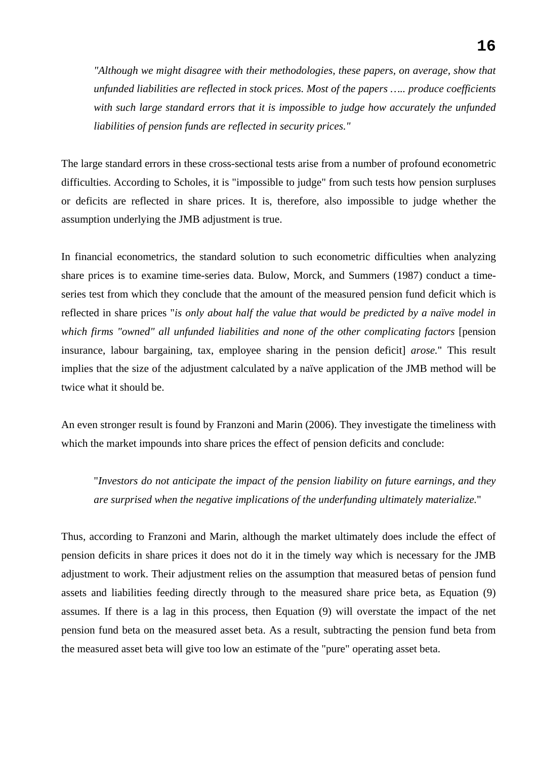*"Although we might disagree with their methodologies, these papers, on average, show that unfunded liabilities are reflected in stock prices. Most of the papers ….. produce coefficients with such large standard errors that it is impossible to judge how accurately the unfunded liabilities of pension funds are reflected in security prices."*

The large standard errors in these cross-sectional tests arise from a number of profound econometric difficulties. According to Scholes, it is "impossible to judge" from such tests how pension surpluses or deficits are reflected in share prices. It is, therefore, also impossible to judge whether the assumption underlying the JMB adjustment is true.

In financial econometrics, the standard solution to such econometric difficulties when analyzing share prices is to examine time-series data. Bulow, Morck, and Summers (1987) conduct a timeseries test from which they conclude that the amount of the measured pension fund deficit which is reflected in share prices "*is only about half the value that would be predicted by a naïve model in which firms "owned" all unfunded liabilities and none of the other complicating factors* [pension insurance, labour bargaining, tax, employee sharing in the pension deficit] *arose.*" This result implies that the size of the adjustment calculated by a naïve application of the JMB method will be twice what it should be.

An even stronger result is found by Franzoni and Marin (2006). They investigate the timeliness with which the market impounds into share prices the effect of pension deficits and conclude:

"*Investors do not anticipate the impact of the pension liability on future earnings, and they are surprised when the negative implications of the underfunding ultimately materialize.*"

Thus, according to Franzoni and Marin, although the market ultimately does include the effect of pension deficits in share prices it does not do it in the timely way which is necessary for the JMB adjustment to work. Their adjustment relies on the assumption that measured betas of pension fund assets and liabilities feeding directly through to the measured share price beta, as Equation (9) assumes. If there is a lag in this process, then Equation (9) will overstate the impact of the net pension fund beta on the measured asset beta. As a result, subtracting the pension fund beta from the measured asset beta will give too low an estimate of the "pure" operating asset beta.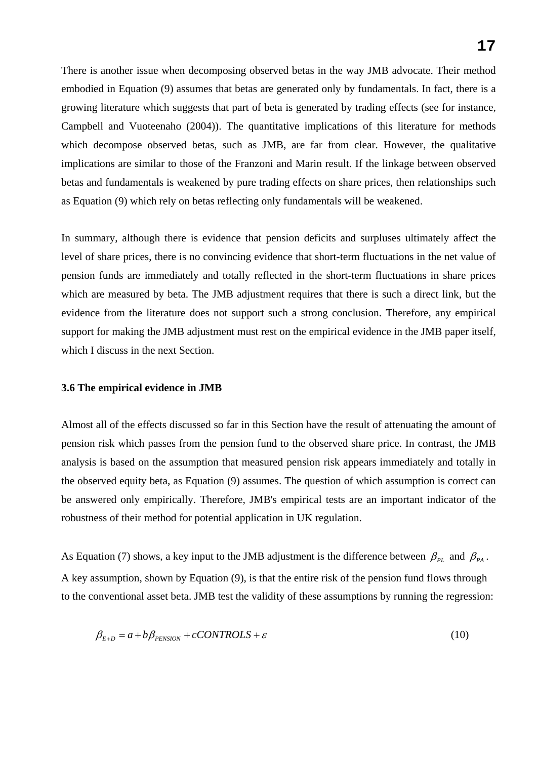There is another issue when decomposing observed betas in the way JMB advocate. Their method embodied in Equation (9) assumes that betas are generated only by fundamentals. In fact, there is a growing literature which suggests that part of beta is generated by trading effects (see for instance, Campbell and Vuoteenaho (2004)). The quantitative implications of this literature for methods which decompose observed betas, such as JMB, are far from clear. However, the qualitative implications are similar to those of the Franzoni and Marin result. If the linkage between observed betas and fundamentals is weakened by pure trading effects on share prices, then relationships such as Equation (9) which rely on betas reflecting only fundamentals will be weakened.

In summary, although there is evidence that pension deficits and surpluses ultimately affect the level of share prices, there is no convincing evidence that short-term fluctuations in the net value of pension funds are immediately and totally reflected in the short-term fluctuations in share prices which are measured by beta. The JMB adjustment requires that there is such a direct link, but the evidence from the literature does not support such a strong conclusion. Therefore, any empirical support for making the JMB adjustment must rest on the empirical evidence in the JMB paper itself, which I discuss in the next Section.

#### **3.6 The empirical evidence in JMB**

Almost all of the effects discussed so far in this Section have the result of attenuating the amount of pension risk which passes from the pension fund to the observed share price. In contrast, the JMB analysis is based on the assumption that measured pension risk appears immediately and totally in the observed equity beta, as Equation (9) assumes. The question of which assumption is correct can be answered only empirically. Therefore, JMB's empirical tests are an important indicator of the robustness of their method for potential application in UK regulation.

As Equation (7) shows, a key input to the JMB adjustment is the difference between  $\beta_{PL}$  and  $\beta_{PA}$ . A key assumption, shown by Equation (9), is that the entire risk of the pension fund flows through to the conventional asset beta. JMB test the validity of these assumptions by running the regression:

$$
\beta_{E+D} = a + b\beta_{PENSION} + cCONTROLS + \varepsilon
$$
\n(10)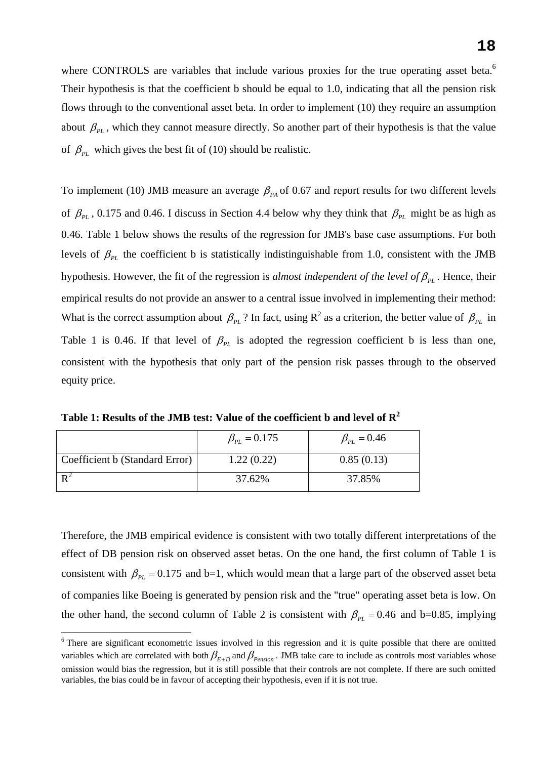where CONTROLS are variables that include various proxies for the true operating asset beta.<sup>6</sup> Their hypothesis is that the coefficient b should be equal to 1.0, indicating that all the pension risk flows through to the conventional asset beta. In order to implement (10) they require an assumption about  $\beta_{PL}$ , which they cannot measure directly. So another part of their hypothesis is that the value of  $\beta_{PL}$  which gives the best fit of (10) should be realistic.

To implement (10) JMB measure an average  $\beta_{PA}$  of 0.67 and report results for two different levels of  $\beta_{PL}$ , 0.175 and 0.46. I discuss in Section 4.4 below why they think that  $\beta_{PL}$  might be as high as 0.46. Table 1 below shows the results of the regression for JMB's base case assumptions. For both levels of  $\beta_{\rm pI}$  the coefficient b is statistically indistinguishable from 1.0, consistent with the JMB hypothesis. However, the fit of the regression is *almost independent of the level of*  $\beta_{PL}$ . Hence, their empirical results do not provide an answer to a central issue involved in implementing their method: What is the correct assumption about  $\beta_{PL}$ ? In fact, using R<sup>2</sup> as a criterion, the better value of  $\beta_{PL}$  in Table 1 is 0.46. If that level of  $\beta_{PL}$  is adopted the regression coefficient b is less than one, consistent with the hypothesis that only part of the pension risk passes through to the observed equity price.

**Table 1: Results of the JMB test: Value of the coefficient b and level of R2**

|                                | $\beta_{PL} = 0.175$ | $\beta_{PL} = 0.46$ |
|--------------------------------|----------------------|---------------------|
| Coefficient b (Standard Error) | 1.22(0.22)           | 0.85(0.13)          |
|                                | 37.62%               | 37.85%              |

 $\overline{a}$ 

Therefore, the JMB empirical evidence is consistent with two totally different interpretations of the effect of DB pension risk on observed asset betas. On the one hand, the first column of Table 1 is consistent with  $\beta_{PL} = 0.175$  and b=1, which would mean that a large part of the observed asset beta of companies like Boeing is generated by pension risk and the "true" operating asset beta is low. On the other hand, the second column of Table 2 is consistent with  $\beta_{PL} = 0.46$  and b=0.85, implying

<sup>&</sup>lt;sup>6</sup> There are significant econometric issues involved in this regression and it is quite possible that there are omitted variables which are correlated with both  $\beta_{E+D}$  and  $\beta_{Pension}$ . JMB take care to include as controls most variables whose omission would bias the regression, but it is still possible that their controls are not complete. If there are such omitted variables, the bias could be in favour of accepting their hypothesis, even if it is not true.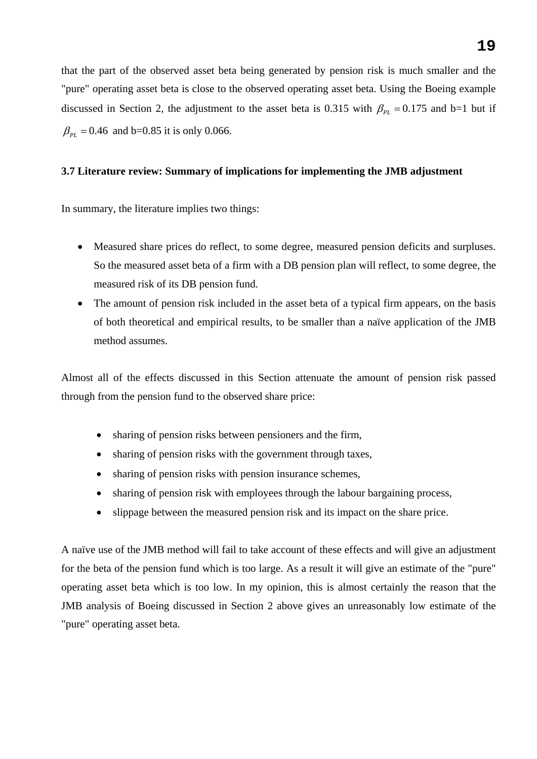that the part of the observed asset beta being generated by pension risk is much smaller and the "pure" operating asset beta is close to the observed operating asset beta. Using the Boeing example discussed in Section 2, the adjustment to the asset beta is 0.315 with  $\beta_{PL} = 0.175$  and b=1 but if  $\beta_{PL} = 0.46$  and b=0.85 it is only 0.066.

#### **3.7 Literature review: Summary of implications for implementing the JMB adjustment**

In summary, the literature implies two things:

- Measured share prices do reflect, to some degree, measured pension deficits and surpluses. So the measured asset beta of a firm with a DB pension plan will reflect, to some degree, the measured risk of its DB pension fund.
- The amount of pension risk included in the asset beta of a typical firm appears, on the basis of both theoretical and empirical results, to be smaller than a naïve application of the JMB method assumes.

Almost all of the effects discussed in this Section attenuate the amount of pension risk passed through from the pension fund to the observed share price:

- sharing of pension risks between pensioners and the firm,
- sharing of pension risks with the government through taxes,
- sharing of pension risks with pension insurance schemes,
- sharing of pension risk with employees through the labour bargaining process,
- slippage between the measured pension risk and its impact on the share price.

A naïve use of the JMB method will fail to take account of these effects and will give an adjustment for the beta of the pension fund which is too large. As a result it will give an estimate of the "pure" operating asset beta which is too low. In my opinion, this is almost certainly the reason that the JMB analysis of Boeing discussed in Section 2 above gives an unreasonably low estimate of the "pure" operating asset beta.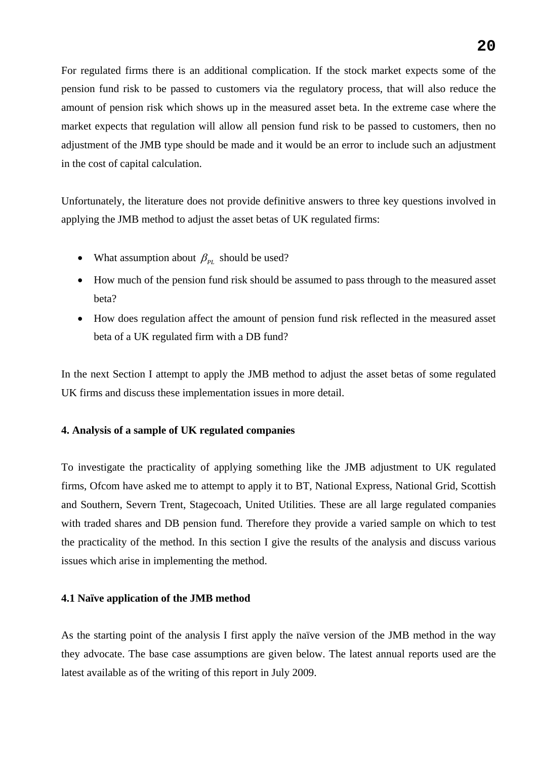For regulated firms there is an additional complication. If the stock market expects some of the pension fund risk to be passed to customers via the regulatory process, that will also reduce the amount of pension risk which shows up in the measured asset beta. In the extreme case where the market expects that regulation will allow all pension fund risk to be passed to customers, then no adjustment of the JMB type should be made and it would be an error to include such an adjustment in the cost of capital calculation.

Unfortunately, the literature does not provide definitive answers to three key questions involved in applying the JMB method to adjust the asset betas of UK regulated firms:

- What assumption about  $\beta_{PL}$  should be used?
- How much of the pension fund risk should be assumed to pass through to the measured asset beta?
- How does regulation affect the amount of pension fund risk reflected in the measured asset beta of a UK regulated firm with a DB fund?

In the next Section I attempt to apply the JMB method to adjust the asset betas of some regulated UK firms and discuss these implementation issues in more detail.

# **4. Analysis of a sample of UK regulated companies**

To investigate the practicality of applying something like the JMB adjustment to UK regulated firms, Ofcom have asked me to attempt to apply it to BT, National Express, National Grid, Scottish and Southern, Severn Trent, Stagecoach, United Utilities. These are all large regulated companies with traded shares and DB pension fund. Therefore they provide a varied sample on which to test the practicality of the method. In this section I give the results of the analysis and discuss various issues which arise in implementing the method.

# **4.1 Naïve application of the JMB method**

As the starting point of the analysis I first apply the naïve version of the JMB method in the way they advocate. The base case assumptions are given below. The latest annual reports used are the latest available as of the writing of this report in July 2009.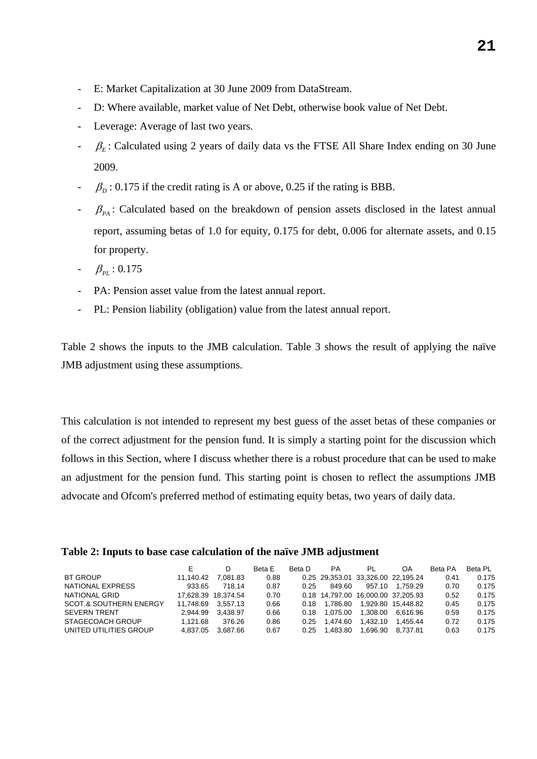- E: Market Capitalization at 30 June 2009 from DataStream.
- D: Where available, market value of Net Debt, otherwise book value of Net Debt.
- Leverage: Average of last two years.
- $\beta_E$ : Calculated using 2 years of daily data vs the FTSE All Share Index ending on 30 June 2009.
- $\beta_D$ : 0.175 if the credit rating is A or above, 0.25 if the rating is BBB.
- $\beta_{PA}$ : Calculated based on the breakdown of pension assets disclosed in the latest annual report, assuming betas of 1.0 for equity, 0.175 for debt, 0.006 for alternate assets, and 0.15 for property.
- $\beta_{PL}$  : 0.175
- PA: Pension asset value from the latest annual report.
- PL: Pension liability (obligation) value from the latest annual report.

Table 2 shows the inputs to the JMB calculation. Table 3 shows the result of applying the naïve JMB adjustment using these assumptions.

This calculation is not intended to represent my best guess of the asset betas of these companies or of the correct adjustment for the pension fund. It is simply a starting point for the discussion which follows in this Section, where I discuss whether there is a robust procedure that can be used to make an adjustment for the pension fund. This starting point is chosen to reflect the assumptions JMB advocate and Ofcom's preferred method of estimating equity betas, two years of daily data.

| Table 2: Inputs to base case calculation of the naïve JMB adjustment |  |  |  |  |
|----------------------------------------------------------------------|--|--|--|--|
|----------------------------------------------------------------------|--|--|--|--|

|                                   | E.        | D                   | Beta F | Beta D | <b>PA</b>                          | PI       | OA                                 | Beta PA | Beta PL |
|-----------------------------------|-----------|---------------------|--------|--------|------------------------------------|----------|------------------------------------|---------|---------|
| <b>BT GROUP</b>                   | 11.140.42 | 7.081.83            | 0.88   |        | 0.25 29,353.01 33,326.00 22,195.24 |          |                                    | 0.41    | 0.175   |
| NATIONAL EXPRESS                  | 933.65    | 718.14              | 0.87   | 0.25   | 849.60                             | 957.10   | 1.759.29                           | 0.70    | 0.175   |
| NATIONAL GRID                     |           | 17.628.39 18.374.54 | 0.70   |        |                                    |          | 0.18 14.797.00 16.000.00 37.205.93 | 0.52    | 0.175   |
| <b>SCOT.&amp; SOUTHERN ENERGY</b> | 11.748.69 | 3.557.13            | 0.66   | 0.18   | 1.786.80                           |          | 1.929.80 15.448.82                 | 0.45    | 0.175   |
| <b>SEVERN TRENT</b>               | 2.944.99  | 3.438.97            | 0.66   | 0.18   | 1.075.00                           | 1.308.00 | 6.616.96                           | 0.59    | 0.175   |
| STAGECOACH GROUP                  | 1.121.68  | 376.26              | 0.86   | 0.25   | 1.474.60                           | 1.432.10 | 1.455.44                           | 0.72    | 0.175   |
| UNITED UTILITIES GROUP            | 4.837.05  | 3.687.66            | 0.67   | 0.25   | 1.483.80                           | 1.696.90 | 8.737.81                           | 0.63    | 0.175   |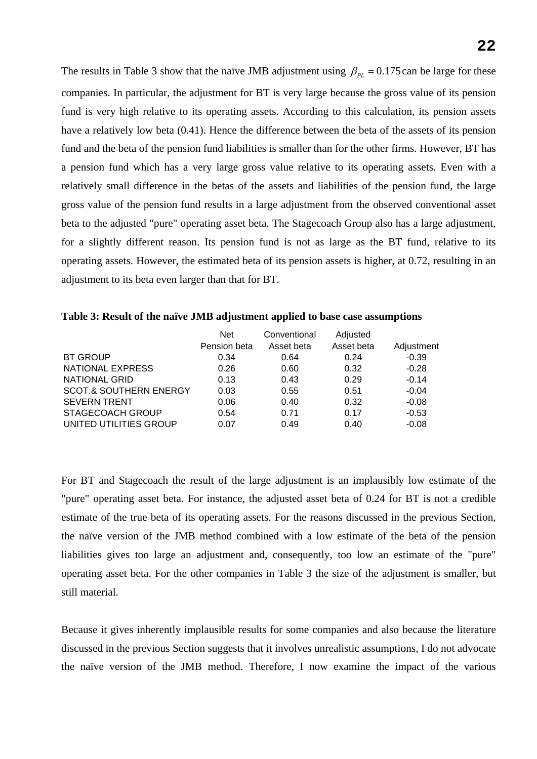The results in Table 3 show that the naïve JMB adjustment using  $\beta_{PL} = 0.175$  can be large for these companies. In particular, the adjustment for BT is very large because the gross value of its pension fund is very high relative to its operating assets. According to this calculation, its pension assets have a relatively low beta (0.41). Hence the difference between the beta of the assets of its pension fund and the beta of the pension fund liabilities is smaller than for the other firms. However, BT has a pension fund which has a very large gross value relative to its operating assets. Even with a relatively small difference in the betas of the assets and liabilities of the pension fund, the large gross value of the pension fund results in a large adjustment from the observed conventional asset beta to the adjusted "pure" operating asset beta. The Stagecoach Group also has a large adjustment, for a slightly different reason. Its pension fund is not as large as the BT fund, relative to its operating assets. However, the estimated beta of its pension assets is higher, at 0.72, resulting in an adjustment to its beta even larger than that for BT.

|  |  | Table 3: Result of the naïve JMB adjustment applied to base case assumptions |
|--|--|------------------------------------------------------------------------------|
|  |  |                                                                              |

|                                   | <b>Net</b>   | Conventional | Adjusted   |            |
|-----------------------------------|--------------|--------------|------------|------------|
|                                   | Pension beta | Asset beta   | Asset beta | Adjustment |
| <b>BT GROUP</b>                   | 0.34         | 0.64         | 0.24       | $-0.39$    |
| <b>NATIONAL EXPRESS</b>           | 0.26         | 0.60         | 0.32       | $-0.28$    |
| <b>NATIONAL GRID</b>              | 0.13         | 0.43         | 0.29       | $-0.14$    |
| <b>SCOT.&amp; SOUTHERN ENERGY</b> | 0.03         | 0.55         | 0.51       | $-0.04$    |
| <b>SEVERN TRENT</b>               | 0.06         | 0.40         | 0.32       | $-0.08$    |
| <b>STAGECOACH GROUP</b>           | 0.54         | 0.71         | 0.17       | $-0.53$    |
| UNITED UTILITIES GROUP            | 0.07         | 0.49         | 0.40       | $-0.08$    |

For BT and Stagecoach the result of the large adjustment is an implausibly low estimate of the "pure" operating asset beta. For instance, the adjusted asset beta of 0.24 for BT is not a credible estimate of the true beta of its operating assets. For the reasons discussed in the previous Section, the naïve version of the JMB method combined with a low estimate of the beta of the pension liabilities gives too large an adjustment and, consequently, too low an estimate of the "pure" operating asset beta. For the other companies in Table 3 the size of the adjustment is smaller, but still material.

Because it gives inherently implausible results for some companies and also because the literature discussed in the previous Section suggests that it involves unrealistic assumptions, I do not advocate the naïve version of the JMB method. Therefore, I now examine the impact of the various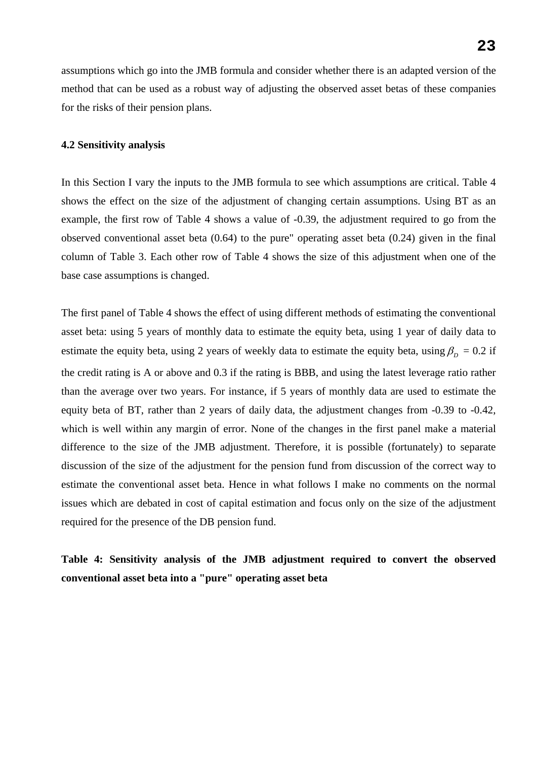assumptions which go into the JMB formula and consider whether there is an adapted version of the method that can be used as a robust way of adjusting the observed asset betas of these companies for the risks of their pension plans.

#### **4.2 Sensitivity analysis**

In this Section I vary the inputs to the JMB formula to see which assumptions are critical. Table 4 shows the effect on the size of the adjustment of changing certain assumptions. Using BT as an example, the first row of Table 4 shows a value of -0.39, the adjustment required to go from the observed conventional asset beta (0.64) to the pure" operating asset beta (0.24) given in the final column of Table 3. Each other row of Table 4 shows the size of this adjustment when one of the base case assumptions is changed.

The first panel of Table 4 shows the effect of using different methods of estimating the conventional asset beta: using 5 years of monthly data to estimate the equity beta, using 1 year of daily data to estimate the equity beta, using 2 years of weekly data to estimate the equity beta, using  $\beta_p = 0.2$  if the credit rating is A or above and 0.3 if the rating is BBB, and using the latest leverage ratio rather than the average over two years. For instance, if 5 years of monthly data are used to estimate the equity beta of BT, rather than 2 years of daily data, the adjustment changes from -0.39 to -0.42, which is well within any margin of error. None of the changes in the first panel make a material difference to the size of the JMB adjustment. Therefore, it is possible (fortunately) to separate discussion of the size of the adjustment for the pension fund from discussion of the correct way to estimate the conventional asset beta. Hence in what follows I make no comments on the normal issues which are debated in cost of capital estimation and focus only on the size of the adjustment required for the presence of the DB pension fund.

**Table 4: Sensitivity analysis of the JMB adjustment required to convert the observed conventional asset beta into a "pure" operating asset beta**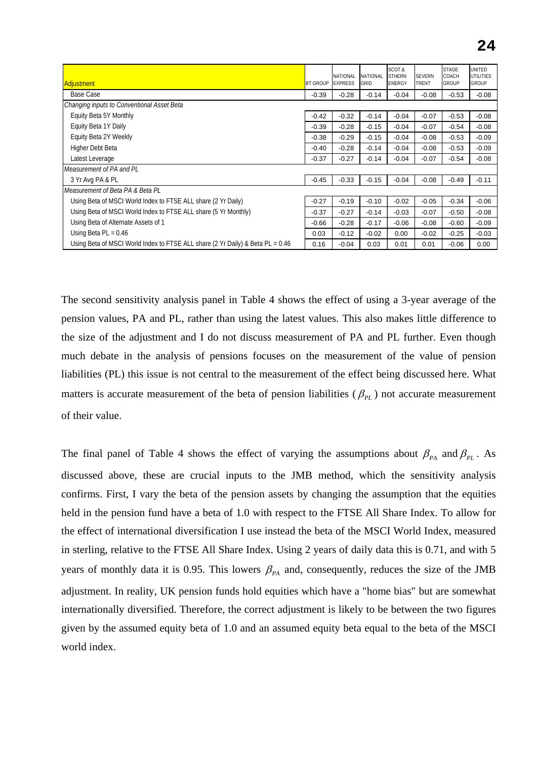| <b>Adjustment</b>                                                              | <b>BT GROUP</b> | <b>NATIONAL</b><br><b>FXPRESS</b> | NATIONAL<br>GRID | SCOT.&<br><b>STHERN</b><br><b>ENERGY</b> | <b>SEVERN</b><br><b>TRENT</b> | <b>STAGE</b><br>COACH<br>GROUP | UNITED<br><b>UTILITIES</b><br>GROUP |
|--------------------------------------------------------------------------------|-----------------|-----------------------------------|------------------|------------------------------------------|-------------------------------|--------------------------------|-------------------------------------|
| Base Case                                                                      | $-0.39$         | $-0.28$                           | $-0.14$          | $-0.04$                                  | $-0.08$                       | $-0.53$                        | $-0.08$                             |
| Changing inputs to Conventional Asset Beta                                     |                 |                                   |                  |                                          |                               |                                |                                     |
| Equity Beta 5Y Monthly                                                         | $-0.42$         | $-0.32$                           | $-0.14$          | $-0.04$                                  | $-0.07$                       | $-0.53$                        | $-0.08$                             |
| Equity Beta 1Y Daily                                                           | $-0.39$         | $-0.28$                           | $-0.15$          | $-0.04$                                  | $-0.07$                       | $-0.54$                        | $-0.08$                             |
| Equity Beta 2Y Weekly                                                          | $-0.38$         | $-0.29$                           | $-0.15$          | $-0.04$                                  | $-0.08$                       | $-0.53$                        | $-0.09$                             |
| Higher Debt Beta                                                               | $-0.40$         | $-0.28$                           | $-0.14$          | $-0.04$                                  | $-0.08$                       | $-0.53$                        | $-0.09$                             |
| Latest Leverage                                                                | $-0.37$         | $-0.27$                           | $-0.14$          | $-0.04$                                  | $-0.07$                       | $-0.54$                        | $-0.08$                             |
| Measurement of PA and PL                                                       |                 |                                   |                  |                                          |                               |                                |                                     |
| 3 Yr Avg PA & PL                                                               | $-0.45$         | $-0.33$                           | $-0.15$          | $-0.04$                                  | $-0.08$                       | $-0.49$                        | $-0.11$                             |
| Measurement of Beta PA & Beta PL                                               |                 |                                   |                  |                                          |                               |                                |                                     |
| Using Beta of MSCI World Index to FTSE ALL share (2 Yr Daily)                  | $-0.27$         | $-0.19$                           | $-0.10$          | $-0.02$                                  | $-0.05$                       | $-0.34$                        | $-0.06$                             |
| Using Beta of MSCI World Index to FTSE ALL share (5 Yr Monthly)                | $-0.37$         | $-0.27$                           | $-0.14$          | $-0.03$                                  | $-0.07$                       | $-0.50$                        | $-0.08$                             |
| Using Beta of Alternate Assets of 1                                            | $-0.66$         | $-0.28$                           | $-0.17$          | $-0.06$                                  | $-0.08$                       | $-0.60$                        | $-0.09$                             |
| Using Beta $PL = 0.46$                                                         | 0.03            | $-0.12$                           | $-0.02$          | 0.00                                     | $-0.02$                       | $-0.25$                        | $-0.03$                             |
| Using Beta of MSCI World Index to FTSE ALL share (2 Yr Daily) & Beta PL = 0.46 | 0.16            | $-0.04$                           | 0.03             | 0.01                                     | 0.01                          | $-0.06$                        | 0.00                                |

The second sensitivity analysis panel in Table 4 shows the effect of using a 3-year average of the pension values, PA and PL, rather than using the latest values. This also makes little difference to the size of the adjustment and I do not discuss measurement of PA and PL further. Even though much debate in the analysis of pensions focuses on the measurement of the value of pension liabilities (PL) this issue is not central to the measurement of the effect being discussed here. What matters is accurate measurement of the beta of pension liabilities ( $\beta_{PL}$ ) not accurate measurement of their value.

The final panel of Table 4 shows the effect of varying the assumptions about  $\beta_{PA}$  and  $\beta_{PL}$ . As discussed above, these are crucial inputs to the JMB method, which the sensitivity analysis confirms. First, I vary the beta of the pension assets by changing the assumption that the equities held in the pension fund have a beta of 1.0 with respect to the FTSE All Share Index. To allow for the effect of international diversification I use instead the beta of the MSCI World Index, measured in sterling, relative to the FTSE All Share Index. Using 2 years of daily data this is 0.71, and with 5 years of monthly data it is 0.95. This lowers  $\beta_{PA}$  and, consequently, reduces the size of the JMB adjustment. In reality, UK pension funds hold equities which have a "home bias" but are somewhat internationally diversified. Therefore, the correct adjustment is likely to be between the two figures given by the assumed equity beta of 1.0 and an assumed equity beta equal to the beta of the MSCI world index.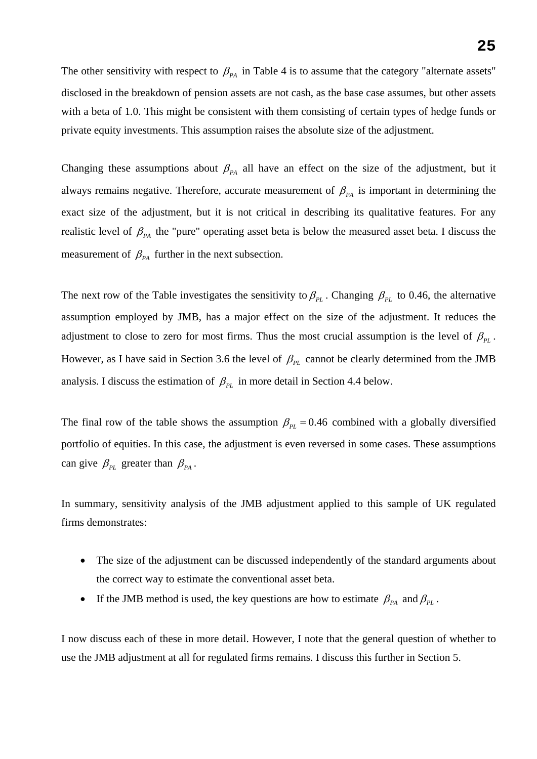The other sensitivity with respect to  $\beta_{PA}$  in Table 4 is to assume that the category "alternate assets" disclosed in the breakdown of pension assets are not cash, as the base case assumes, but other assets with a beta of 1.0. This might be consistent with them consisting of certain types of hedge funds or private equity investments. This assumption raises the absolute size of the adjustment.

Changing these assumptions about  $\beta_{PA}$  all have an effect on the size of the adjustment, but it always remains negative. Therefore, accurate measurement of  $\beta_{PA}$  is important in determining the exact size of the adjustment, but it is not critical in describing its qualitative features. For any realistic level of  $\beta_{PA}$  the "pure" operating asset beta is below the measured asset beta. I discuss the measurement of  $\beta_{PA}$  further in the next subsection.

The next row of the Table investigates the sensitivity to  $\beta_{PL}$ . Changing  $\beta_{PL}$  to 0.46, the alternative assumption employed by JMB, has a major effect on the size of the adjustment. It reduces the adjustment to close to zero for most firms. Thus the most crucial assumption is the level of  $\beta_{PL}$ . However, as I have said in Section 3.6 the level of  $\beta_{PL}$  cannot be clearly determined from the JMB analysis. I discuss the estimation of  $\beta_{PL}$  in more detail in Section 4.4 below.

The final row of the table shows the assumption  $\beta_{PL} = 0.46$  combined with a globally diversified portfolio of equities. In this case, the adjustment is even reversed in some cases. These assumptions can give  $\beta_{PL}$  greater than  $\beta_{PA}$ .

In summary, sensitivity analysis of the JMB adjustment applied to this sample of UK regulated firms demonstrates:

- The size of the adjustment can be discussed independently of the standard arguments about the correct way to estimate the conventional asset beta.
- If the JMB method is used, the key questions are how to estimate  $\beta_{PA}$  and  $\beta_{PL}$ .

I now discuss each of these in more detail. However, I note that the general question of whether to use the JMB adjustment at all for regulated firms remains. I discuss this further in Section 5.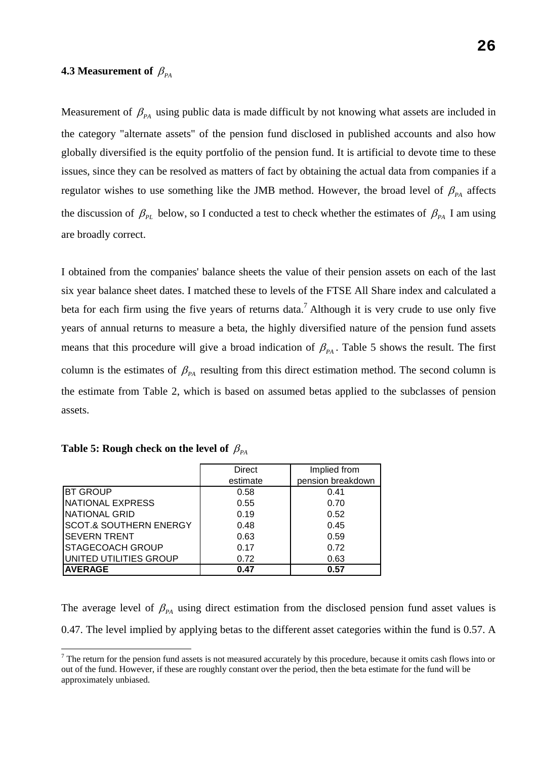#### **4.3 Measurement of**  $\beta_{PA}$

Measurement of  $\beta_{PA}$  using public data is made difficult by not knowing what assets are included in the category "alternate assets" of the pension fund disclosed in published accounts and also how globally diversified is the equity portfolio of the pension fund. It is artificial to devote time to these issues, since they can be resolved as matters of fact by obtaining the actual data from companies if a regulator wishes to use something like the JMB method. However, the broad level of  $\beta_{PA}$  affects the discussion of  $\beta_{PL}$  below, so I conducted a test to check whether the estimates of  $\beta_{PA}$  I am using are broadly correct.

I obtained from the companies' balance sheets the value of their pension assets on each of the last six year balance sheet dates. I matched these to levels of the FTSE All Share index and calculated a beta for each firm using the five years of returns data.<sup>7</sup> Although it is very crude to use only five years of annual returns to measure a beta, the highly diversified nature of the pension fund assets means that this procedure will give a broad indication of  $\beta_{PA}$ . Table 5 shows the result. The first column is the estimates of  $\beta_{PA}$  resulting from this direct estimation method. The second column is the estimate from Table 2, which is based on assumed betas applied to the subclasses of pension assets.

|                                   | <b>Direct</b> | Implied from      |
|-----------------------------------|---------------|-------------------|
|                                   | estimate      | pension breakdown |
| <b>BT GROUP</b>                   | 0.58          | 0.41              |
| NATIONAL EXPRESS                  | 0.55          | 0.70              |
| INATIONAL GRID                    | 0.19          | 0.52              |
| <b>SCOT.&amp; SOUTHERN ENERGY</b> | 0.48          | 0.45              |
| <b>SEVERN TRENT</b>               | 0.63          | 0.59              |
| <b>STAGECOACH GROUP</b>           | 0.17          | 0.72              |
| UNITED UTILITIES GROUP            | 0.72          | 0.63              |
| <b>AVERAGE</b>                    | 0.47          | 0.57              |

| Table 5: Rough check on the level of $\,\beta_{_{PA}}\,$ |  |  |  |  |
|----------------------------------------------------------|--|--|--|--|
|----------------------------------------------------------|--|--|--|--|

 $\overline{a}$ 

The average level of  $\beta_{PA}$  using direct estimation from the disclosed pension fund asset values is 0.47. The level implied by applying betas to the different asset categories within the fund is 0.57. A

 $<sup>7</sup>$  The return for the pension fund assets is not measured accurately by this procedure, because it omits cash flows into or</sup> out of the fund. However, if these are roughly constant over the period, then the beta estimate for the fund will be approximately unbiased.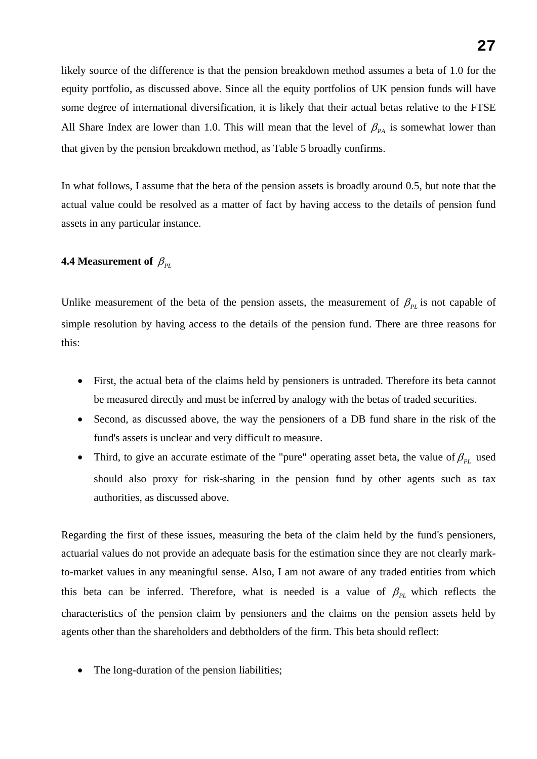likely source of the difference is that the pension breakdown method assumes a beta of 1.0 for the equity portfolio, as discussed above. Since all the equity portfolios of UK pension funds will have some degree of international diversification, it is likely that their actual betas relative to the FTSE All Share Index are lower than 1.0. This will mean that the level of  $\beta_{PA}$  is somewhat lower than that given by the pension breakdown method, as Table 5 broadly confirms.

In what follows, I assume that the beta of the pension assets is broadly around 0.5, but note that the actual value could be resolved as a matter of fact by having access to the details of pension fund assets in any particular instance.

# **4.4 Measurement of**  $\beta_{PL}$

Unlike measurement of the beta of the pension assets, the measurement of  $\beta_{PL}$  is not capable of simple resolution by having access to the details of the pension fund. There are three reasons for this:

- First, the actual beta of the claims held by pensioners is untraded. Therefore its beta cannot be measured directly and must be inferred by analogy with the betas of traded securities.
- Second, as discussed above, the way the pensioners of a DB fund share in the risk of the fund's assets is unclear and very difficult to measure.
- Third, to give an accurate estimate of the "pure" operating asset beta, the value of  $\beta_{PL}$  used should also proxy for risk-sharing in the pension fund by other agents such as tax authorities, as discussed above.

Regarding the first of these issues, measuring the beta of the claim held by the fund's pensioners, actuarial values do not provide an adequate basis for the estimation since they are not clearly markto-market values in any meaningful sense. Also, I am not aware of any traded entities from which this beta can be inferred. Therefore, what is needed is a value of  $\beta_{PL}$  which reflects the characteristics of the pension claim by pensioners and the claims on the pension assets held by agents other than the shareholders and debtholders of the firm. This beta should reflect:

The long-duration of the pension liabilities;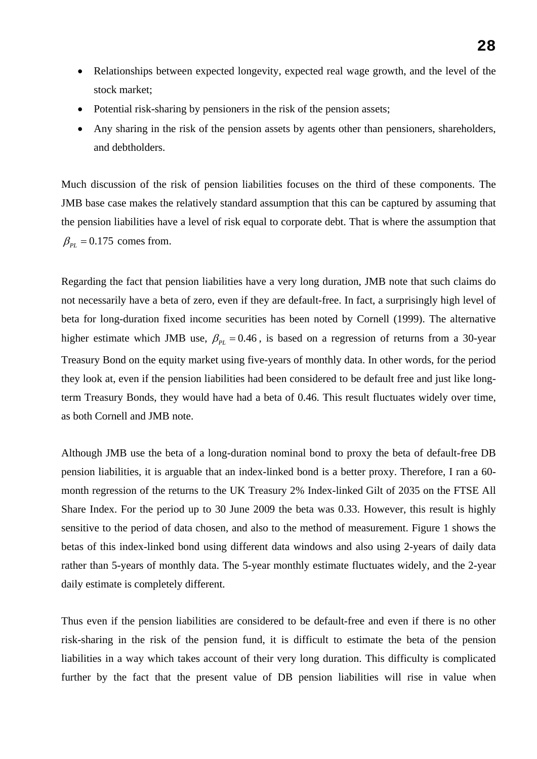- Relationships between expected longevity, expected real wage growth, and the level of the stock market;
- Potential risk-sharing by pensioners in the risk of the pension assets;
- Any sharing in the risk of the pension assets by agents other than pensioners, shareholders, and debtholders.

Much discussion of the risk of pension liabilities focuses on the third of these components. The JMB base case makes the relatively standard assumption that this can be captured by assuming that the pension liabilities have a level of risk equal to corporate debt. That is where the assumption that  $\beta_{PL} = 0.175$  comes from.

Regarding the fact that pension liabilities have a very long duration, JMB note that such claims do not necessarily have a beta of zero, even if they are default-free. In fact, a surprisingly high level of beta for long-duration fixed income securities has been noted by Cornell (1999). The alternative higher estimate which JMB use,  $\beta_{PL} = 0.46$ , is based on a regression of returns from a 30-year Treasury Bond on the equity market using five-years of monthly data. In other words, for the period they look at, even if the pension liabilities had been considered to be default free and just like longterm Treasury Bonds, they would have had a beta of 0.46. This result fluctuates widely over time, as both Cornell and JMB note.

Although JMB use the beta of a long-duration nominal bond to proxy the beta of default-free DB pension liabilities, it is arguable that an index-linked bond is a better proxy. Therefore, I ran a 60 month regression of the returns to the UK Treasury 2% Index-linked Gilt of 2035 on the FTSE All Share Index. For the period up to 30 June 2009 the beta was 0.33. However, this result is highly sensitive to the period of data chosen, and also to the method of measurement. Figure 1 shows the betas of this index-linked bond using different data windows and also using 2-years of daily data rather than 5-years of monthly data. The 5-year monthly estimate fluctuates widely, and the 2-year daily estimate is completely different.

Thus even if the pension liabilities are considered to be default-free and even if there is no other risk-sharing in the risk of the pension fund, it is difficult to estimate the beta of the pension liabilities in a way which takes account of their very long duration. This difficulty is complicated further by the fact that the present value of DB pension liabilities will rise in value when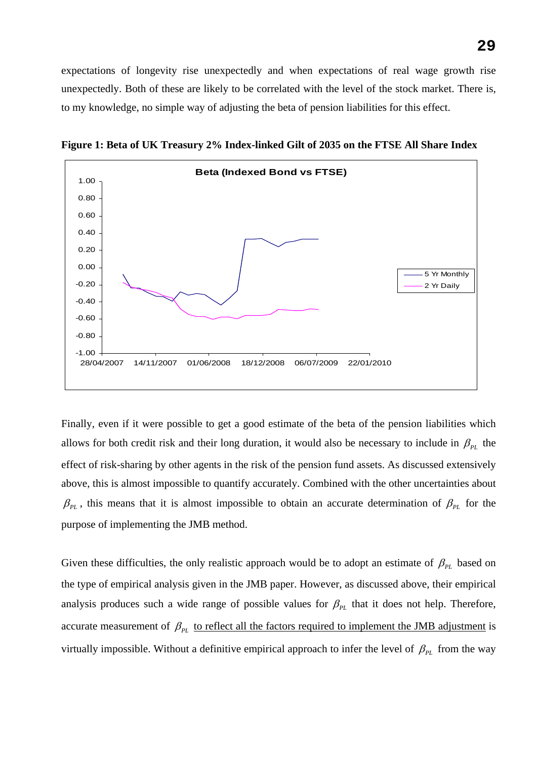expectations of longevity rise unexpectedly and when expectations of real wage growth rise unexpectedly. Both of these are likely to be correlated with the level of the stock market. There is, to my knowledge, no simple way of adjusting the beta of pension liabilities for this effect.



**Figure 1: Beta of UK Treasury 2% Index-linked Gilt of 2035 on the FTSE All Share Index** 

Finally, even if it were possible to get a good estimate of the beta of the pension liabilities which allows for both credit risk and their long duration, it would also be necessary to include in  $\beta_{PL}$  the effect of risk-sharing by other agents in the risk of the pension fund assets. As discussed extensively above, this is almost impossible to quantify accurately. Combined with the other uncertainties about  $\beta_{PL}$ , this means that it is almost impossible to obtain an accurate determination of  $\beta_{PL}$  for the purpose of implementing the JMB method.

Given these difficulties, the only realistic approach would be to adopt an estimate of  $\beta_{PL}$  based on the type of empirical analysis given in the JMB paper. However, as discussed above, their empirical analysis produces such a wide range of possible values for  $\beta_{PL}$  that it does not help. Therefore, accurate measurement of  $\beta_{PL}$  to reflect all the factors required to implement the JMB adjustment is virtually impossible. Without a definitive empirical approach to infer the level of  $\beta_{PL}$  from the way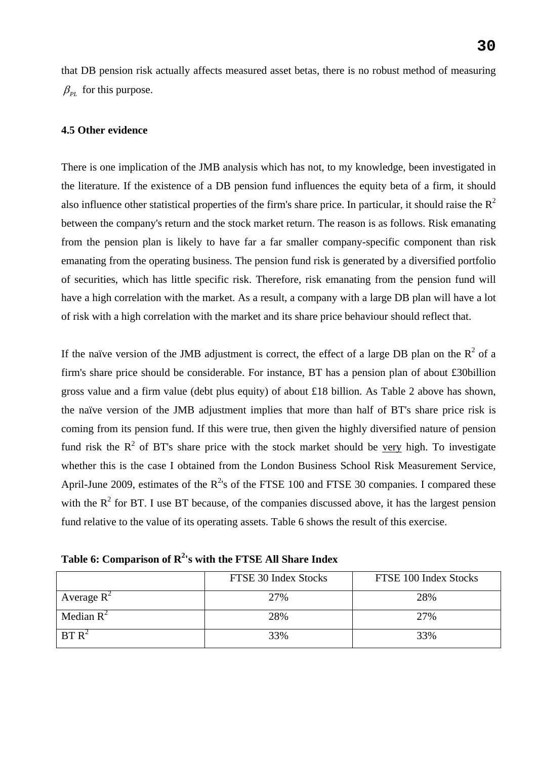that DB pension risk actually affects measured asset betas, there is no robust method of measuring  $\beta_{PL}$  for this purpose.

#### **4.5 Other evidence**

There is one implication of the JMB analysis which has not, to my knowledge, been investigated in the literature. If the existence of a DB pension fund influences the equity beta of a firm, it should also influence other statistical properties of the firm's share price. In particular, it should raise the  $R<sup>2</sup>$ between the company's return and the stock market return. The reason is as follows. Risk emanating from the pension plan is likely to have far a far smaller company-specific component than risk emanating from the operating business. The pension fund risk is generated by a diversified portfolio of securities, which has little specific risk. Therefore, risk emanating from the pension fund will have a high correlation with the market. As a result, a company with a large DB plan will have a lot of risk with a high correlation with the market and its share price behaviour should reflect that.

If the naïve version of the JMB adjustment is correct, the effect of a large DB plan on the  $R^2$  of a firm's share price should be considerable. For instance, BT has a pension plan of about £30billion gross value and a firm value (debt plus equity) of about £18 billion. As Table 2 above has shown, the naïve version of the JMB adjustment implies that more than half of BT's share price risk is coming from its pension fund. If this were true, then given the highly diversified nature of pension fund risk the  $R^2$  of BT's share price with the stock market should be very high. To investigate whether this is the case I obtained from the London Business School Risk Measurement Service, April-June 2009, estimates of the  $R^{2}$ 's of the FTSE 100 and FTSE 30 companies. I compared these with the  $R^2$  for BT. I use BT because, of the companies discussed above, it has the largest pension fund relative to the value of its operating assets. Table 6 shows the result of this exercise.

Table 6: Comparison of R<sup>2</sup>'s with the FTSE All Share Index

|                   | FTSE 30 Index Stocks | FTSE 100 Index Stocks |
|-------------------|----------------------|-----------------------|
| Average $R^2$     | 27%                  | 28%                   |
| Median $R^2$      | 28%                  | 27%                   |
| BT R <sup>2</sup> | 33%                  | 33%                   |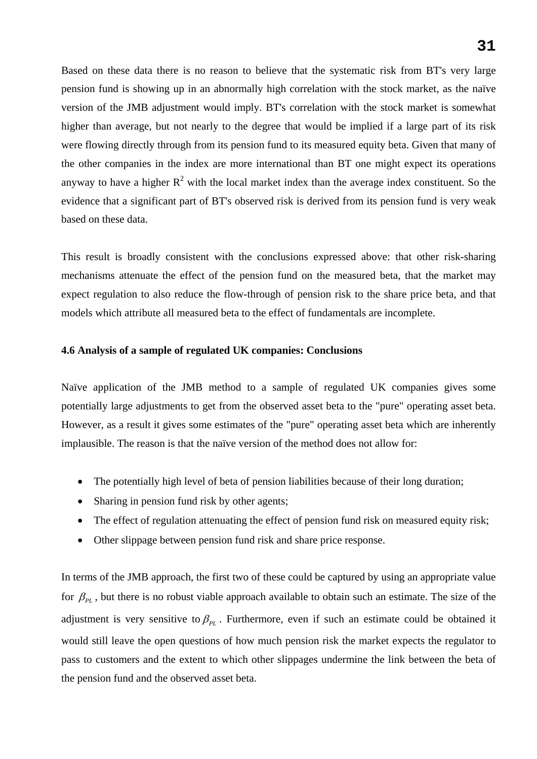Based on these data there is no reason to believe that the systematic risk from BT's very large pension fund is showing up in an abnormally high correlation with the stock market, as the naïve version of the JMB adjustment would imply. BT's correlation with the stock market is somewhat higher than average, but not nearly to the degree that would be implied if a large part of its risk were flowing directly through from its pension fund to its measured equity beta. Given that many of the other companies in the index are more international than BT one might expect its operations anyway to have a higher  $R^2$  with the local market index than the average index constituent. So the evidence that a significant part of BT's observed risk is derived from its pension fund is very weak based on these data.

This result is broadly consistent with the conclusions expressed above: that other risk-sharing mechanisms attenuate the effect of the pension fund on the measured beta, that the market may expect regulation to also reduce the flow-through of pension risk to the share price beta, and that models which attribute all measured beta to the effect of fundamentals are incomplete.

# **4.6 Analysis of a sample of regulated UK companies: Conclusions**

Naïve application of the JMB method to a sample of regulated UK companies gives some potentially large adjustments to get from the observed asset beta to the "pure" operating asset beta. However, as a result it gives some estimates of the "pure" operating asset beta which are inherently implausible. The reason is that the naïve version of the method does not allow for:

- The potentially high level of beta of pension liabilities because of their long duration;
- Sharing in pension fund risk by other agents;
- The effect of regulation attenuating the effect of pension fund risk on measured equity risk;
- Other slippage between pension fund risk and share price response.

In terms of the JMB approach, the first two of these could be captured by using an appropriate value for  $\beta_{PL}$ , but there is no robust viable approach available to obtain such an estimate. The size of the adjustment is very sensitive to  $\beta_{\nu}$ . Furthermore, even if such an estimate could be obtained it would still leave the open questions of how much pension risk the market expects the regulator to pass to customers and the extent to which other slippages undermine the link between the beta of the pension fund and the observed asset beta.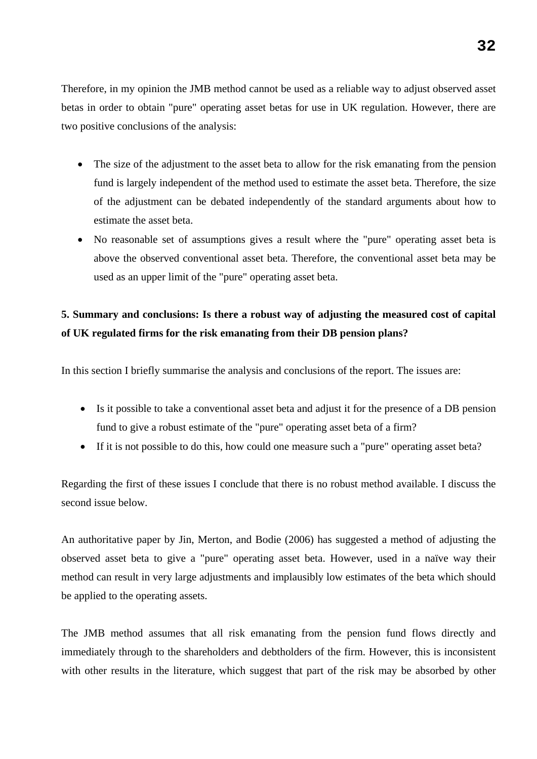Therefore, in my opinion the JMB method cannot be used as a reliable way to adjust observed asset betas in order to obtain "pure" operating asset betas for use in UK regulation. However, there are two positive conclusions of the analysis:

- The size of the adjustment to the asset beta to allow for the risk emanating from the pension fund is largely independent of the method used to estimate the asset beta. Therefore, the size of the adjustment can be debated independently of the standard arguments about how to estimate the asset beta.
- No reasonable set of assumptions gives a result where the "pure" operating asset beta is above the observed conventional asset beta. Therefore, the conventional asset beta may be used as an upper limit of the "pure" operating asset beta.

# **5. Summary and conclusions: Is there a robust way of adjusting the measured cost of capital of UK regulated firms for the risk emanating from their DB pension plans?**

In this section I briefly summarise the analysis and conclusions of the report. The issues are:

- Is it possible to take a conventional asset beta and adjust it for the presence of a DB pension fund to give a robust estimate of the "pure" operating asset beta of a firm?
- If it is not possible to do this, how could one measure such a "pure" operating asset beta?

Regarding the first of these issues I conclude that there is no robust method available. I discuss the second issue below.

An authoritative paper by Jin, Merton, and Bodie (2006) has suggested a method of adjusting the observed asset beta to give a "pure" operating asset beta. However, used in a naïve way their method can result in very large adjustments and implausibly low estimates of the beta which should be applied to the operating assets.

The JMB method assumes that all risk emanating from the pension fund flows directly and immediately through to the shareholders and debtholders of the firm. However, this is inconsistent with other results in the literature, which suggest that part of the risk may be absorbed by other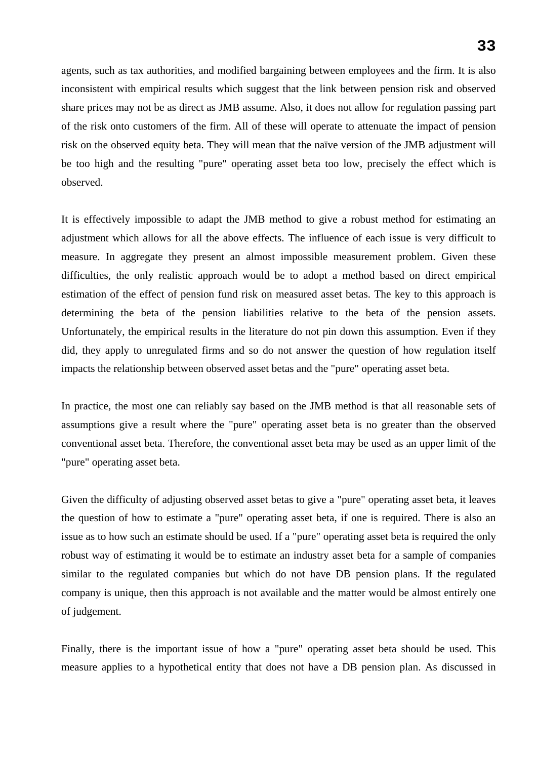agents, such as tax authorities, and modified bargaining between employees and the firm. It is also inconsistent with empirical results which suggest that the link between pension risk and observed share prices may not be as direct as JMB assume. Also, it does not allow for regulation passing part of the risk onto customers of the firm. All of these will operate to attenuate the impact of pension risk on the observed equity beta. They will mean that the naïve version of the JMB adjustment will be too high and the resulting "pure" operating asset beta too low, precisely the effect which is observed.

It is effectively impossible to adapt the JMB method to give a robust method for estimating an adjustment which allows for all the above effects. The influence of each issue is very difficult to measure. In aggregate they present an almost impossible measurement problem. Given these difficulties, the only realistic approach would be to adopt a method based on direct empirical estimation of the effect of pension fund risk on measured asset betas. The key to this approach is determining the beta of the pension liabilities relative to the beta of the pension assets. Unfortunately, the empirical results in the literature do not pin down this assumption. Even if they did, they apply to unregulated firms and so do not answer the question of how regulation itself impacts the relationship between observed asset betas and the "pure" operating asset beta.

In practice, the most one can reliably say based on the JMB method is that all reasonable sets of assumptions give a result where the "pure" operating asset beta is no greater than the observed conventional asset beta. Therefore, the conventional asset beta may be used as an upper limit of the "pure" operating asset beta.

Given the difficulty of adjusting observed asset betas to give a "pure" operating asset beta, it leaves the question of how to estimate a "pure" operating asset beta, if one is required. There is also an issue as to how such an estimate should be used. If a "pure" operating asset beta is required the only robust way of estimating it would be to estimate an industry asset beta for a sample of companies similar to the regulated companies but which do not have DB pension plans. If the regulated company is unique, then this approach is not available and the matter would be almost entirely one of judgement.

Finally, there is the important issue of how a "pure" operating asset beta should be used. This measure applies to a hypothetical entity that does not have a DB pension plan. As discussed in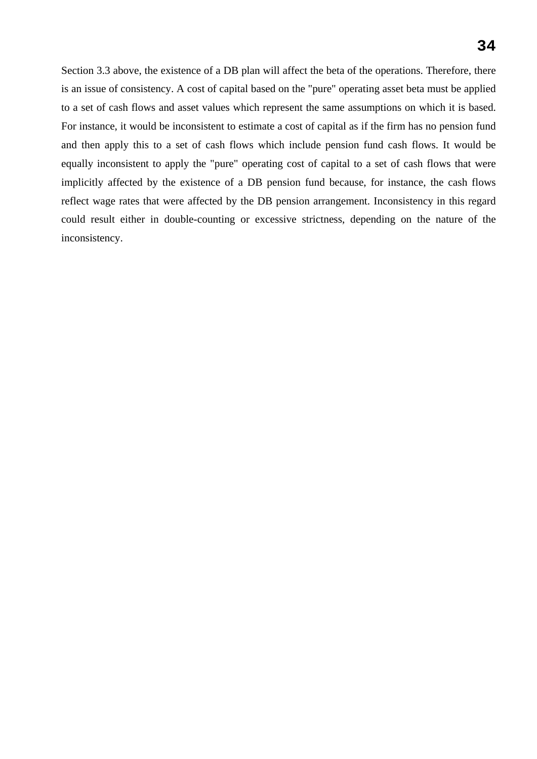Section 3.3 above, the existence of a DB plan will affect the beta of the operations. Therefore, there is an issue of consistency. A cost of capital based on the "pure" operating asset beta must be applied to a set of cash flows and asset values which represent the same assumptions on which it is based. For instance, it would be inconsistent to estimate a cost of capital as if the firm has no pension fund and then apply this to a set of cash flows which include pension fund cash flows. It would be equally inconsistent to apply the "pure" operating cost of capital to a set of cash flows that were implicitly affected by the existence of a DB pension fund because, for instance, the cash flows reflect wage rates that were affected by the DB pension arrangement. Inconsistency in this regard could result either in double-counting or excessive strictness, depending on the nature of the inconsistency.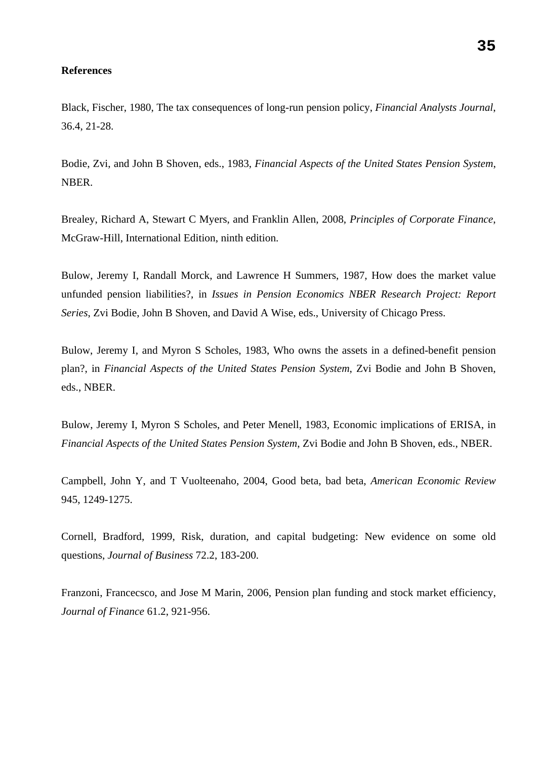#### **References**

Black, Fischer, 1980, The tax consequences of long-run pension policy, *Financial Analysts Journal*, 36.4, 21-28.

Bodie, Zvi, and John B Shoven, eds., 1983, *Financial Aspects of the United States Pension System*, NBER.

Brealey, Richard A, Stewart C Myers, and Franklin Allen, 2008, *Principles of Corporate Finance*, McGraw-Hill, International Edition, ninth edition.

Bulow, Jeremy I, Randall Morck, and Lawrence H Summers, 1987, How does the market value unfunded pension liabilities?, in *Issues in Pension Economics NBER Research Project: Report Series*, Zvi Bodie, John B Shoven, and David A Wise, eds., University of Chicago Press.

Bulow, Jeremy I, and Myron S Scholes, 1983, Who owns the assets in a defined-benefit pension plan?, in *Financial Aspects of the United States Pension System*, Zvi Bodie and John B Shoven, eds., NBER.

Bulow, Jeremy I, Myron S Scholes, and Peter Menell, 1983, Economic implications of ERISA, in *Financial Aspects of the United States Pension System*, Zvi Bodie and John B Shoven, eds., NBER.

Campbell, John Y, and T Vuolteenaho, 2004, Good beta, bad beta, *American Economic Review* 945, 1249-1275.

Cornell, Bradford, 1999, Risk, duration, and capital budgeting: New evidence on some old questions, *Journal of Business* 72.2, 183-200.

Franzoni, Francecsco, and Jose M Marin, 2006, Pension plan funding and stock market efficiency, *Journal of Finance* 61.2, 921-956.